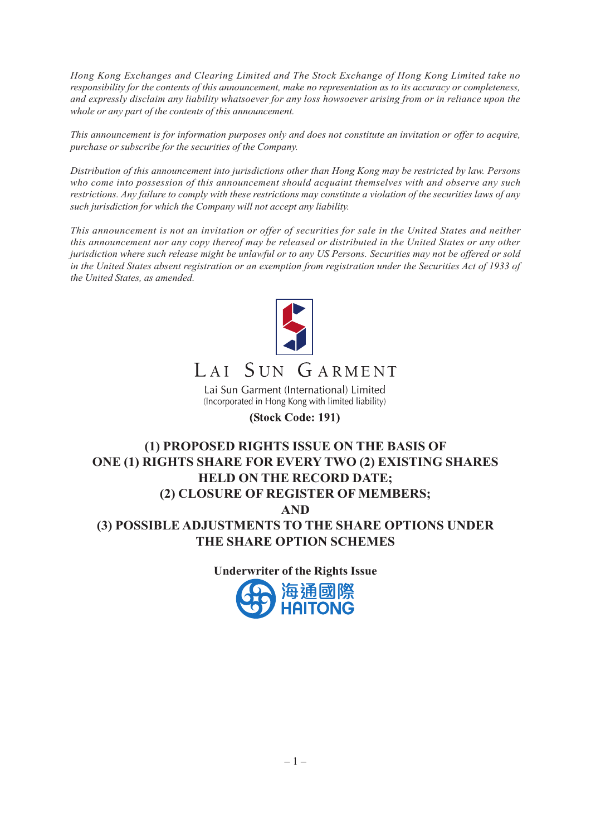*Hong Kong Exchanges and Clearing Limited and The Stock Exchange of Hong Kong Limited take no responsibility for the contents of this announcement, make no representation as to its accuracy or completeness, and expressly disclaim any liability whatsoever for any loss howsoever arising from or in reliance upon the whole or any part of the contents of this announcement.*

*This announcement is for information purposes only and does not constitute an invitation or offer to acquire, purchase or subscribe for the securities of the Company.*

*Distribution of this announcement into jurisdictions other than Hong Kong may be restricted by law. Persons who come into possession of this announcement should acquaint themselves with and observe any such restrictions. Any failure to comply with these restrictions may constitute a violation of the securities laws of any such jurisdiction for which the Company will not accept any liability.*

*This announcement is not an invitation or offer of securities for sale in the United States and neither this announcement nor any copy thereof may be released or distributed in the United States or any other jurisdiction where such release might be unlawful or to any US Persons. Securities may not be offered or sold in the United States absent registration or an exemption from registration under the Securities Act of 1933 of the United States, as amended.*



# LAI SUN GARMENT

Lai Sun Garment (International) Limited (Incorporated in Hong Kong with limited liability)

#### (Stock Code: 191)

## **(1) PROPOSED RIGHTS ISSUE ON THE BASIS OF ONE (1) RIGHTS SHARE FOR EVERY TWO (2) EXISTING SHARES HELD ON THE RECORD DATE; (2) CLOSURE OF REGISTER OF MEMBERS; AND (3) POSSIBLE ADJUSTMENTS TO THE SHARE OPTIONS UNDER THE SHARE OPTION SCHEMES**

**Underwriter of the Rights Issue**

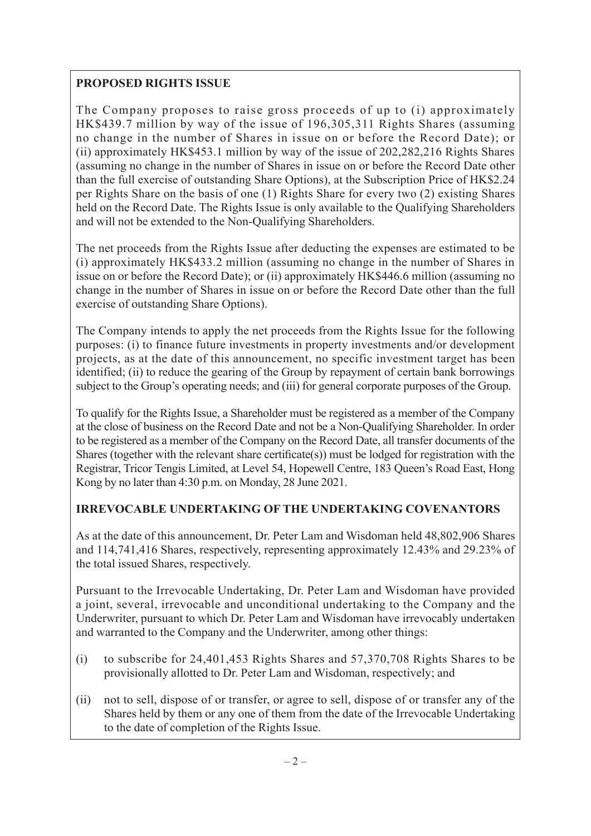## **PROPOSED RIGHTS ISSUE**

The Company proposes to raise gross proceeds of up to (i) approximately HK\$439.7 million by way of the issue of 196,305,311 Rights Shares (assuming no change in the number of Shares in issue on or before the Record Date); or (ii) approximately HK\$453.1 million by way of the issue of 202,282,216 Rights Shares (assuming no change in the number of Shares in issue on or before the Record Date other than the full exercise of outstanding Share Options), at the Subscription Price of HK\$2.24 per Rights Share on the basis of one (1) Rights Share for every two (2) existing Shares held on the Record Date. The Rights Issue is only available to the Qualifying Shareholders and will not be extended to the Non-Qualifying Shareholders.

The net proceeds from the Rights Issue after deducting the expenses are estimated to be (i) approximately HK\$433.2 million (assuming no change in the number of Shares in issue on or before the Record Date); or (ii) approximately HK\$446.6 million (assuming no change in the number of Shares in issue on or before the Record Date other than the full exercise of outstanding Share Options).

The Company intends to apply the net proceeds from the Rights Issue for the following purposes: (i) to finance future investments in property investments and/or development projects, as at the date of this announcement, no specific investment target has been identified; (ii) to reduce the gearing of the Group by repayment of certain bank borrowings subject to the Group's operating needs; and (iii) for general corporate purposes of the Group.

To qualify for the Rights Issue, a Shareholder must be registered as a member of the Company at the close of business on the Record Date and not be a Non-Qualifying Shareholder. In order to be registered as a member of the Company on the Record Date, all transfer documents of the Shares (together with the relevant share certificate(s)) must be lodged for registration with the Registrar, Tricor Tengis Limited, at Level 54, Hopewell Centre, 183 Queen's Road East, Hong Kong by no later than 4:30 p.m. on Monday, 28 June 2021.

## **IRREVOCABLE UNDERTAKING OF THE UNDERTAKING COVENANTORS**

As at the date of this announcement, Dr. Peter Lam and Wisdoman held 48,802,906 Shares and 114,741,416 Shares, respectively, representing approximately 12.43% and 29.23% of the total issued Shares, respectively.

Pursuant to the Irrevocable Undertaking, Dr. Peter Lam and Wisdoman have provided a joint, several, irrevocable and unconditional undertaking to the Company and the Underwriter, pursuant to which Dr. Peter Lam and Wisdoman have irrevocably undertaken and warranted to the Company and the Underwriter, among other things:

- (i) to subscribe for 24,401,453 Rights Shares and 57,370,708 Rights Shares to be provisionally allotted to Dr. Peter Lam and Wisdoman, respectively; and
- (ii) not to sell, dispose of or transfer, or agree to sell, dispose of or transfer any of the Shares held by them or any one of them from the date of the Irrevocable Undertaking to the date of completion of the Rights Issue.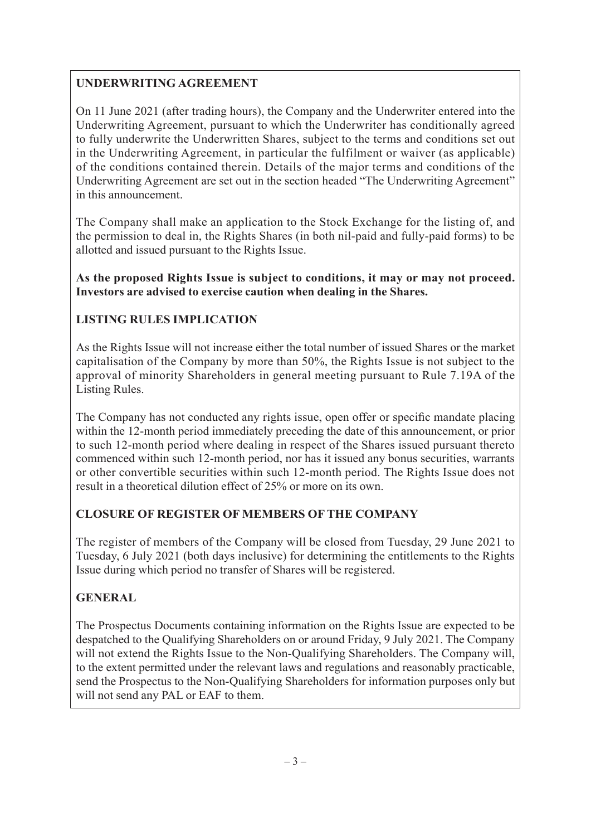## **UNDERWRITING AGREEMENT**

On 11 June 2021 (after trading hours), the Company and the Underwriter entered into the Underwriting Agreement, pursuant to which the Underwriter has conditionally agreed to fully underwrite the Underwritten Shares, subject to the terms and conditions set out in the Underwriting Agreement, in particular the fulfilment or waiver (as applicable) of the conditions contained therein. Details of the major terms and conditions of the Underwriting Agreement are set out in the section headed "The Underwriting Agreement" in this announcement.

The Company shall make an application to the Stock Exchange for the listing of, and the permission to deal in, the Rights Shares (in both nil-paid and fully-paid forms) to be allotted and issued pursuant to the Rights Issue.

**As the proposed Rights Issue is subject to conditions, it may or may not proceed. Investors are advised to exercise caution when dealing in the Shares.**

## **LISTING RULES IMPLICATION**

As the Rights Issue will not increase either the total number of issued Shares or the market capitalisation of the Company by more than 50%, the Rights Issue is not subject to the approval of minority Shareholders in general meeting pursuant to Rule 7.19A of the Listing Rules.

The Company has not conducted any rights issue, open offer or specific mandate placing within the 12-month period immediately preceding the date of this announcement, or prior to such 12-month period where dealing in respect of the Shares issued pursuant thereto commenced within such 12-month period, nor has it issued any bonus securities, warrants or other convertible securities within such 12-month period. The Rights Issue does not result in a theoretical dilution effect of 25% or more on its own.

## **CLOSURE OF REGISTER OF MEMBERS OF THE COMPANY**

The register of members of the Company will be closed from Tuesday, 29 June 2021 to Tuesday, 6 July 2021 (both days inclusive) for determining the entitlements to the Rights Issue during which period no transfer of Shares will be registered.

## **GENERAL**

The Prospectus Documents containing information on the Rights Issue are expected to be despatched to the Qualifying Shareholders on or around Friday, 9 July 2021. The Company will not extend the Rights Issue to the Non-Qualifying Shareholders. The Company will, to the extent permitted under the relevant laws and regulations and reasonably practicable, send the Prospectus to the Non-Qualifying Shareholders for information purposes only but will not send any PAL or EAF to them.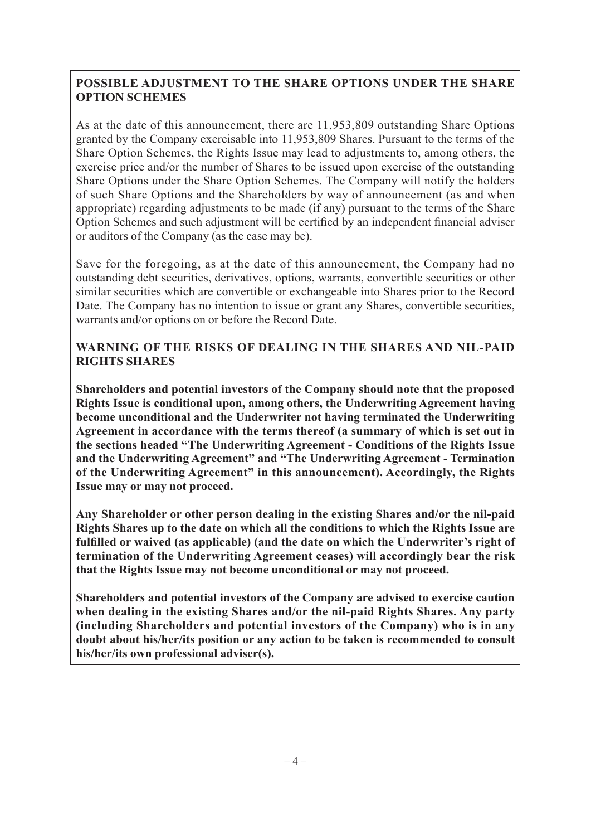## **POSSIBLE ADJUSTMENT TO THE SHARE OPTIONS UNDER THE SHARE OPTION SCHEMES**

As at the date of this announcement, there are 11,953,809 outstanding Share Options granted by the Company exercisable into 11,953,809 Shares. Pursuant to the terms of the Share Option Schemes, the Rights Issue may lead to adjustments to, among others, the exercise price and/or the number of Shares to be issued upon exercise of the outstanding Share Options under the Share Option Schemes. The Company will notify the holders of such Share Options and the Shareholders by way of announcement (as and when appropriate) regarding adjustments to be made (if any) pursuant to the terms of the Share Option Schemes and such adjustment will be certified by an independent financial adviser or auditors of the Company (as the case may be).

Save for the foregoing, as at the date of this announcement, the Company had no outstanding debt securities, derivatives, options, warrants, convertible securities or other similar securities which are convertible or exchangeable into Shares prior to the Record Date. The Company has no intention to issue or grant any Shares, convertible securities, warrants and/or options on or before the Record Date.

## **WARNING OF THE RISKS OF DEALING IN THE SHARES AND NIL-PAID RIGHTS SHARES**

**Shareholders and potential investors of the Company should note that the proposed Rights Issue is conditional upon, among others, the Underwriting Agreement having become unconditional and the Underwriter not having terminated the Underwriting Agreement in accordance with the terms thereof (a summary of which is set out in the sections headed "The Underwriting Agreement - Conditions of the Rights Issue and the Underwriting Agreement" and "The Underwriting Agreement - Termination of the Underwriting Agreement" in this announcement). Accordingly, the Rights Issue may or may not proceed.**

**Any Shareholder or other person dealing in the existing Shares and/or the nil-paid Rights Shares up to the date on which all the conditions to which the Rights Issue are fulfilled or waived (as applicable) (and the date on which the Underwriter's right of termination of the Underwriting Agreement ceases) will accordingly bear the risk that the Rights Issue may not become unconditional or may not proceed.**

**Shareholders and potential investors of the Company are advised to exercise caution when dealing in the existing Shares and/or the nil-paid Rights Shares. Any party (including Shareholders and potential investors of the Company) who is in any doubt about his/her/its position or any action to be taken is recommended to consult his/her/its own professional adviser(s).**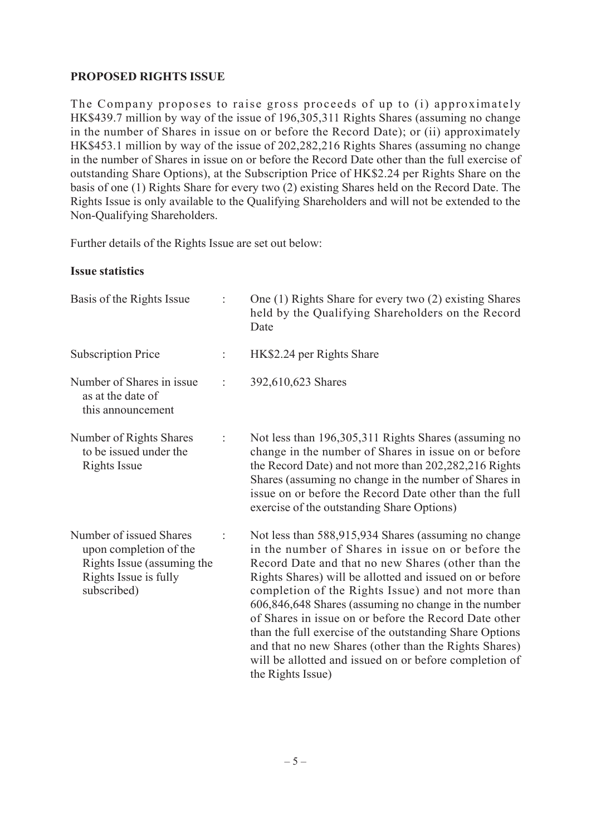## **PROPOSED RIGHTS ISSUE**

The Company proposes to raise gross proceeds of up to (i) approximately HK\$439.7 million by way of the issue of 196,305,311 Rights Shares (assuming no change in the number of Shares in issue on or before the Record Date); or (ii) approximately HK\$453.1 million by way of the issue of 202,282,216 Rights Shares (assuming no change in the number of Shares in issue on or before the Record Date other than the full exercise of outstanding Share Options), at the Subscription Price of HK\$2.24 per Rights Share on the basis of one (1) Rights Share for every two (2) existing Shares held on the Record Date. The Rights Issue is only available to the Qualifying Shareholders and will not be extended to the Non-Qualifying Shareholders.

Further details of the Rights Issue are set out below:

#### **Issue statistics**

| Basis of the Rights Issue                                                                                               |   | One (1) Rights Share for every two (2) existing Shares<br>held by the Qualifying Shareholders on the Record<br>Date                                                                                                                                                                                                                                                                                                                                                                                                                                                                                 |
|-------------------------------------------------------------------------------------------------------------------------|---|-----------------------------------------------------------------------------------------------------------------------------------------------------------------------------------------------------------------------------------------------------------------------------------------------------------------------------------------------------------------------------------------------------------------------------------------------------------------------------------------------------------------------------------------------------------------------------------------------------|
| <b>Subscription Price</b>                                                                                               |   | HK\$2.24 per Rights Share                                                                                                                                                                                                                                                                                                                                                                                                                                                                                                                                                                           |
| Number of Shares in issue.<br>as at the date of<br>this announcement                                                    |   | 392,610,623 Shares                                                                                                                                                                                                                                                                                                                                                                                                                                                                                                                                                                                  |
| Number of Rights Shares<br>to be issued under the<br><b>Rights Issue</b>                                                | t | Not less than 196,305,311 Rights Shares (assuming no<br>change in the number of Shares in issue on or before<br>the Record Date) and not more than 202,282,216 Rights<br>Shares (assuming no change in the number of Shares in<br>issue on or before the Record Date other than the full<br>exercise of the outstanding Share Options)                                                                                                                                                                                                                                                              |
| Number of issued Shares<br>upon completion of the<br>Rights Issue (assuming the<br>Rights Issue is fully<br>subscribed) |   | Not less than 588,915,934 Shares (assuming no change<br>in the number of Shares in issue on or before the<br>Record Date and that no new Shares (other than the<br>Rights Shares) will be allotted and issued on or before<br>completion of the Rights Issue) and not more than<br>606,846,648 Shares (assuming no change in the number<br>of Shares in issue on or before the Record Date other<br>than the full exercise of the outstanding Share Options<br>and that no new Shares (other than the Rights Shares)<br>will be allotted and issued on or before completion of<br>the Rights Issue) |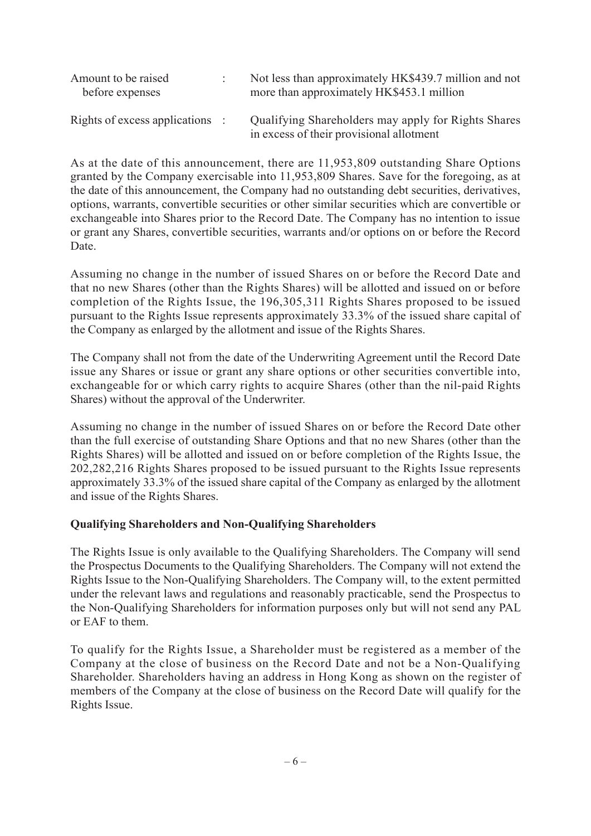| Amount to be raised<br>before expenses | Not less than approximately HK\$439.7 million and not<br>more than approximately HK\$453.1 million |
|----------------------------------------|----------------------------------------------------------------------------------------------------|
| Rights of excess applications :        | Qualifying Shareholders may apply for Rights Shares<br>in excess of their provisional allotment    |

As at the date of this announcement, there are 11,953,809 outstanding Share Options granted by the Company exercisable into 11,953,809 Shares. Save for the foregoing, as at the date of this announcement, the Company had no outstanding debt securities, derivatives, options, warrants, convertible securities or other similar securities which are convertible or exchangeable into Shares prior to the Record Date. The Company has no intention to issue or grant any Shares, convertible securities, warrants and/or options on or before the Record Date.

Assuming no change in the number of issued Shares on or before the Record Date and that no new Shares (other than the Rights Shares) will be allotted and issued on or before completion of the Rights Issue, the 196,305,311 Rights Shares proposed to be issued pursuant to the Rights Issue represents approximately 33.3% of the issued share capital of the Company as enlarged by the allotment and issue of the Rights Shares.

The Company shall not from the date of the Underwriting Agreement until the Record Date issue any Shares or issue or grant any share options or other securities convertible into, exchangeable for or which carry rights to acquire Shares (other than the nil-paid Rights Shares) without the approval of the Underwriter.

Assuming no change in the number of issued Shares on or before the Record Date other than the full exercise of outstanding Share Options and that no new Shares (other than the Rights Shares) will be allotted and issued on or before completion of the Rights Issue, the 202,282,216 Rights Shares proposed to be issued pursuant to the Rights Issue represents approximately 33.3% of the issued share capital of the Company as enlarged by the allotment and issue of the Rights Shares.

#### **Qualifying Shareholders and Non-Qualifying Shareholders**

The Rights Issue is only available to the Qualifying Shareholders. The Company will send the Prospectus Documents to the Qualifying Shareholders. The Company will not extend the Rights Issue to the Non-Qualifying Shareholders. The Company will, to the extent permitted under the relevant laws and regulations and reasonably practicable, send the Prospectus to the Non-Qualifying Shareholders for information purposes only but will not send any PAL or EAF to them.

To qualify for the Rights Issue, a Shareholder must be registered as a member of the Company at the close of business on the Record Date and not be a Non-Qualifying Shareholder. Shareholders having an address in Hong Kong as shown on the register of members of the Company at the close of business on the Record Date will qualify for the Rights Issue.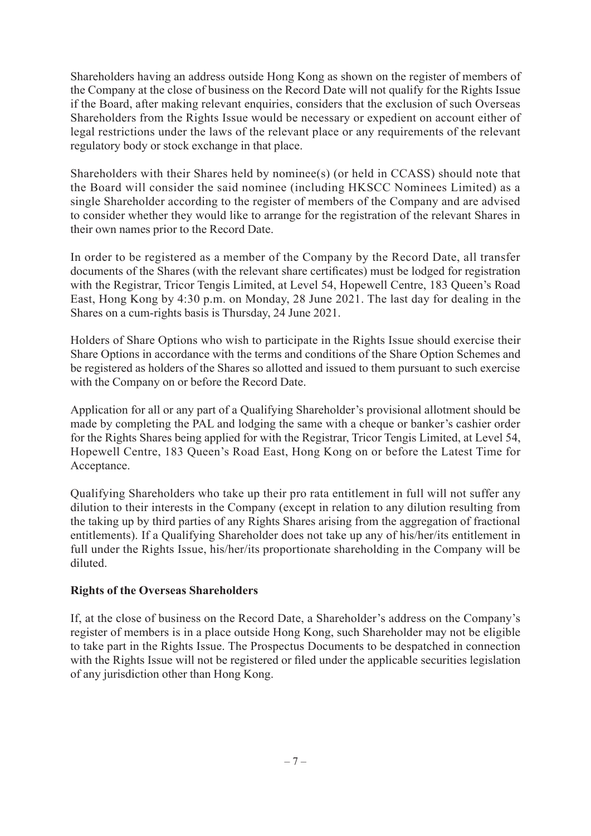Shareholders having an address outside Hong Kong as shown on the register of members of the Company at the close of business on the Record Date will not qualify for the Rights Issue if the Board, after making relevant enquiries, considers that the exclusion of such Overseas Shareholders from the Rights Issue would be necessary or expedient on account either of legal restrictions under the laws of the relevant place or any requirements of the relevant regulatory body or stock exchange in that place.

Shareholders with their Shares held by nominee(s) (or held in CCASS) should note that the Board will consider the said nominee (including HKSCC Nominees Limited) as a single Shareholder according to the register of members of the Company and are advised to consider whether they would like to arrange for the registration of the relevant Shares in their own names prior to the Record Date.

In order to be registered as a member of the Company by the Record Date, all transfer documents of the Shares (with the relevant share certificates) must be lodged for registration with the Registrar, Tricor Tengis Limited, at Level 54, Hopewell Centre, 183 Queen's Road East, Hong Kong by 4:30 p.m. on Monday, 28 June 2021. The last day for dealing in the Shares on a cum-rights basis is Thursday, 24 June 2021.

Holders of Share Options who wish to participate in the Rights Issue should exercise their Share Options in accordance with the terms and conditions of the Share Option Schemes and be registered as holders of the Shares so allotted and issued to them pursuant to such exercise with the Company on or before the Record Date.

Application for all or any part of a Qualifying Shareholder's provisional allotment should be made by completing the PAL and lodging the same with a cheque or banker's cashier order for the Rights Shares being applied for with the Registrar, Tricor Tengis Limited, at Level 54, Hopewell Centre, 183 Queen's Road East, Hong Kong on or before the Latest Time for Acceptance.

Qualifying Shareholders who take up their pro rata entitlement in full will not suffer any dilution to their interests in the Company (except in relation to any dilution resulting from the taking up by third parties of any Rights Shares arising from the aggregation of fractional entitlements). If a Qualifying Shareholder does not take up any of his/her/its entitlement in full under the Rights Issue, his/her/its proportionate shareholding in the Company will be diluted.

#### **Rights of the Overseas Shareholders**

If, at the close of business on the Record Date, a Shareholder's address on the Company's register of members is in a place outside Hong Kong, such Shareholder may not be eligible to take part in the Rights Issue. The Prospectus Documents to be despatched in connection with the Rights Issue will not be registered or filed under the applicable securities legislation of any jurisdiction other than Hong Kong.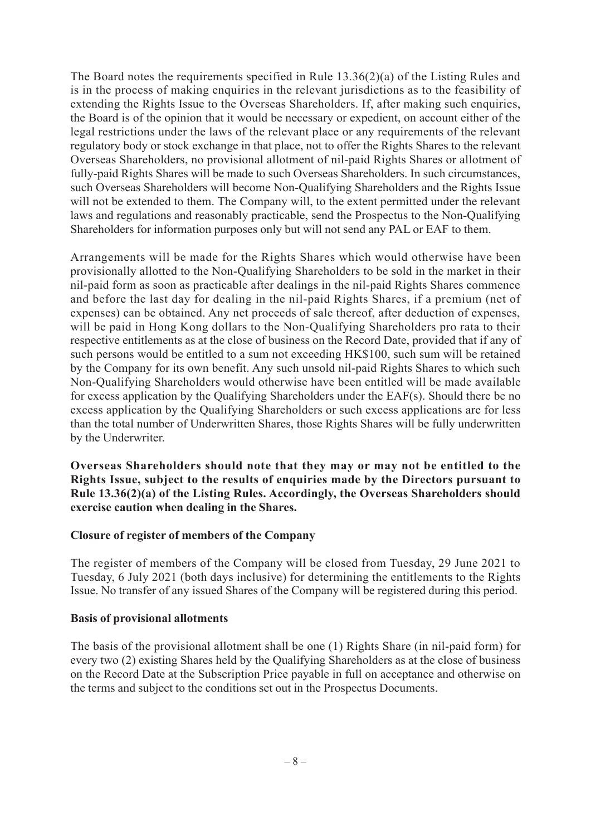The Board notes the requirements specified in Rule 13.36(2)(a) of the Listing Rules and is in the process of making enquiries in the relevant jurisdictions as to the feasibility of extending the Rights Issue to the Overseas Shareholders. If, after making such enquiries, the Board is of the opinion that it would be necessary or expedient, on account either of the legal restrictions under the laws of the relevant place or any requirements of the relevant regulatory body or stock exchange in that place, not to offer the Rights Shares to the relevant Overseas Shareholders, no provisional allotment of nil-paid Rights Shares or allotment of fully-paid Rights Shares will be made to such Overseas Shareholders. In such circumstances, such Overseas Shareholders will become Non-Qualifying Shareholders and the Rights Issue will not be extended to them. The Company will, to the extent permitted under the relevant laws and regulations and reasonably practicable, send the Prospectus to the Non-Qualifying Shareholders for information purposes only but will not send any PAL or EAF to them.

Arrangements will be made for the Rights Shares which would otherwise have been provisionally allotted to the Non-Qualifying Shareholders to be sold in the market in their nil-paid form as soon as practicable after dealings in the nil-paid Rights Shares commence and before the last day for dealing in the nil-paid Rights Shares, if a premium (net of expenses) can be obtained. Any net proceeds of sale thereof, after deduction of expenses, will be paid in Hong Kong dollars to the Non-Qualifying Shareholders pro rata to their respective entitlements as at the close of business on the Record Date, provided that if any of such persons would be entitled to a sum not exceeding HK\$100, such sum will be retained by the Company for its own benefit. Any such unsold nil-paid Rights Shares to which such Non-Qualifying Shareholders would otherwise have been entitled will be made available for excess application by the Qualifying Shareholders under the EAF(s). Should there be no excess application by the Qualifying Shareholders or such excess applications are for less than the total number of Underwritten Shares, those Rights Shares will be fully underwritten by the Underwriter.

**Overseas Shareholders should note that they may or may not be entitled to the Rights Issue, subject to the results of enquiries made by the Directors pursuant to Rule 13.36(2)(a) of the Listing Rules. Accordingly, the Overseas Shareholders should exercise caution when dealing in the Shares.**

#### **Closure of register of members of the Company**

The register of members of the Company will be closed from Tuesday, 29 June 2021 to Tuesday, 6 July 2021 (both days inclusive) for determining the entitlements to the Rights Issue. No transfer of any issued Shares of the Company will be registered during this period.

#### **Basis of provisional allotments**

The basis of the provisional allotment shall be one (1) Rights Share (in nil-paid form) for every two (2) existing Shares held by the Qualifying Shareholders as at the close of business on the Record Date at the Subscription Price payable in full on acceptance and otherwise on the terms and subject to the conditions set out in the Prospectus Documents.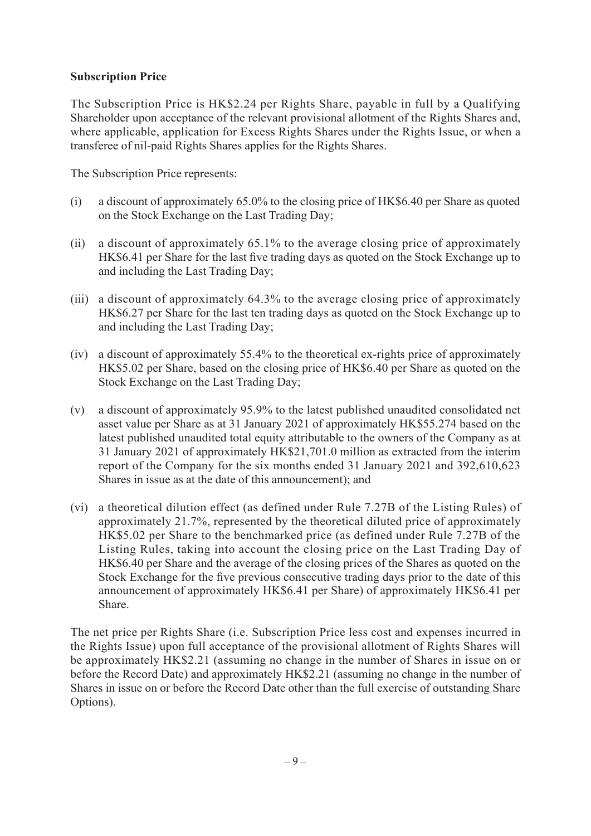## **Subscription Price**

The Subscription Price is HK\$2.24 per Rights Share, payable in full by a Qualifying Shareholder upon acceptance of the relevant provisional allotment of the Rights Shares and, where applicable, application for Excess Rights Shares under the Rights Issue, or when a transferee of nil-paid Rights Shares applies for the Rights Shares.

The Subscription Price represents:

- (i) a discount of approximately 65.0% to the closing price of HK\$6.40 per Share as quoted on the Stock Exchange on the Last Trading Day;
- (ii) a discount of approximately 65.1% to the average closing price of approximately HK\$6.41 per Share for the last five trading days as quoted on the Stock Exchange up to and including the Last Trading Day;
- (iii) a discount of approximately 64.3% to the average closing price of approximately HK\$6.27 per Share for the last ten trading days as quoted on the Stock Exchange up to and including the Last Trading Day;
- (iv) a discount of approximately 55.4% to the theoretical ex-rights price of approximately HK\$5.02 per Share, based on the closing price of HK\$6.40 per Share as quoted on the Stock Exchange on the Last Trading Day;
- (v) a discount of approximately 95.9% to the latest published unaudited consolidated net asset value per Share as at 31 January 2021 of approximately HK\$55.274 based on the latest published unaudited total equity attributable to the owners of the Company as at 31 January 2021 of approximately HK\$21,701.0 million as extracted from the interim report of the Company for the six months ended 31 January 2021 and 392,610,623 Shares in issue as at the date of this announcement); and
- (vi) a theoretical dilution effect (as defined under Rule 7.27B of the Listing Rules) of approximately 21.7%, represented by the theoretical diluted price of approximately HK\$5.02 per Share to the benchmarked price (as defined under Rule 7.27B of the Listing Rules, taking into account the closing price on the Last Trading Day of HK\$6.40 per Share and the average of the closing prices of the Shares as quoted on the Stock Exchange for the five previous consecutive trading days prior to the date of this announcement of approximately HK\$6.41 per Share) of approximately HK\$6.41 per Share.

The net price per Rights Share (i.e. Subscription Price less cost and expenses incurred in the Rights Issue) upon full acceptance of the provisional allotment of Rights Shares will be approximately HK\$2.21 (assuming no change in the number of Shares in issue on or before the Record Date) and approximately HK\$2.21 (assuming no change in the number of Shares in issue on or before the Record Date other than the full exercise of outstanding Share Options).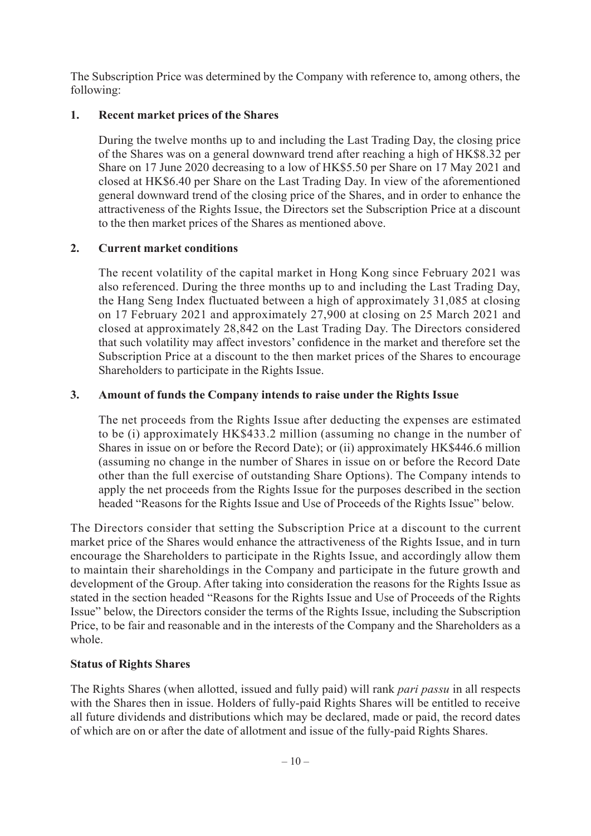The Subscription Price was determined by the Company with reference to, among others, the following:

## **1. Recent market prices of the Shares**

During the twelve months up to and including the Last Trading Day, the closing price of the Shares was on a general downward trend after reaching a high of HK\$8.32 per Share on 17 June 2020 decreasing to a low of HK\$5.50 per Share on 17 May 2021 and closed at HK\$6.40 per Share on the Last Trading Day. In view of the aforementioned general downward trend of the closing price of the Shares, and in order to enhance the attractiveness of the Rights Issue, the Directors set the Subscription Price at a discount to the then market prices of the Shares as mentioned above.

## **2. Current market conditions**

The recent volatility of the capital market in Hong Kong since February 2021 was also referenced. During the three months up to and including the Last Trading Day, the Hang Seng Index fluctuated between a high of approximately 31,085 at closing on 17 February 2021 and approximately 27,900 at closing on 25 March 2021 and closed at approximately 28,842 on the Last Trading Day. The Directors considered that such volatility may affect investors' confidence in the market and therefore set the Subscription Price at a discount to the then market prices of the Shares to encourage Shareholders to participate in the Rights Issue.

## **3. Amount of funds the Company intends to raise under the Rights Issue**

The net proceeds from the Rights Issue after deducting the expenses are estimated to be (i) approximately HK\$433.2 million (assuming no change in the number of Shares in issue on or before the Record Date); or (ii) approximately HK\$446.6 million (assuming no change in the number of Shares in issue on or before the Record Date other than the full exercise of outstanding Share Options). The Company intends to apply the net proceeds from the Rights Issue for the purposes described in the section headed "Reasons for the Rights Issue and Use of Proceeds of the Rights Issue" below.

The Directors consider that setting the Subscription Price at a discount to the current market price of the Shares would enhance the attractiveness of the Rights Issue, and in turn encourage the Shareholders to participate in the Rights Issue, and accordingly allow them to maintain their shareholdings in the Company and participate in the future growth and development of the Group. After taking into consideration the reasons for the Rights Issue as stated in the section headed "Reasons for the Rights Issue and Use of Proceeds of the Rights Issue" below, the Directors consider the terms of the Rights Issue, including the Subscription Price, to be fair and reasonable and in the interests of the Company and the Shareholders as a whole.

## **Status of Rights Shares**

The Rights Shares (when allotted, issued and fully paid) will rank *pari passu* in all respects with the Shares then in issue. Holders of fully-paid Rights Shares will be entitled to receive all future dividends and distributions which may be declared, made or paid, the record dates of which are on or after the date of allotment and issue of the fully-paid Rights Shares.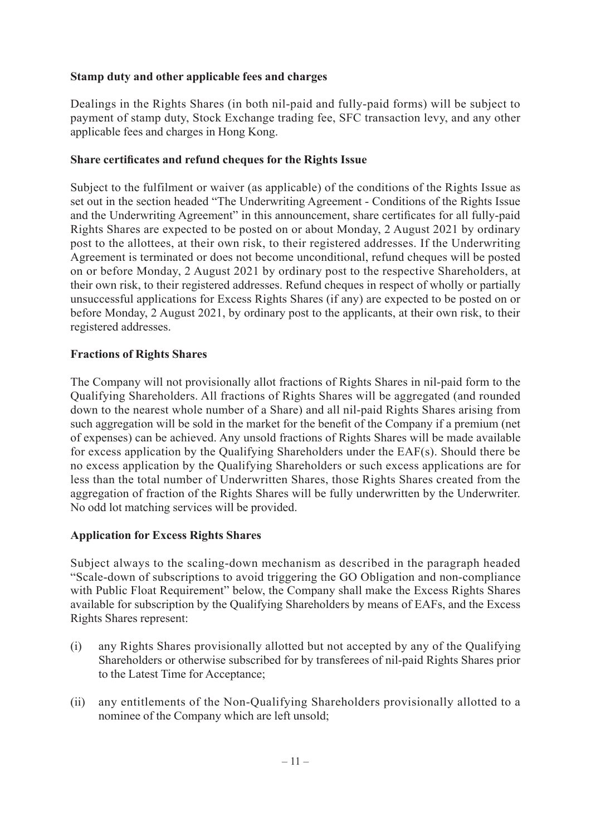## **Stamp duty and other applicable fees and charges**

Dealings in the Rights Shares (in both nil-paid and fully-paid forms) will be subject to payment of stamp duty, Stock Exchange trading fee, SFC transaction levy, and any other applicable fees and charges in Hong Kong.

#### **Share certificates and refund cheques for the Rights Issue**

Subject to the fulfilment or waiver (as applicable) of the conditions of the Rights Issue as set out in the section headed "The Underwriting Agreement - Conditions of the Rights Issue and the Underwriting Agreement" in this announcement, share certificates for all fully-paid Rights Shares are expected to be posted on or about Monday, 2 August 2021 by ordinary post to the allottees, at their own risk, to their registered addresses. If the Underwriting Agreement is terminated or does not become unconditional, refund cheques will be posted on or before Monday, 2 August 2021 by ordinary post to the respective Shareholders, at their own risk, to their registered addresses. Refund cheques in respect of wholly or partially unsuccessful applications for Excess Rights Shares (if any) are expected to be posted on or before Monday, 2 August 2021, by ordinary post to the applicants, at their own risk, to their registered addresses.

#### **Fractions of Rights Shares**

The Company will not provisionally allot fractions of Rights Shares in nil-paid form to the Qualifying Shareholders. All fractions of Rights Shares will be aggregated (and rounded down to the nearest whole number of a Share) and all nil-paid Rights Shares arising from such aggregation will be sold in the market for the benefit of the Company if a premium (net of expenses) can be achieved. Any unsold fractions of Rights Shares will be made available for excess application by the Qualifying Shareholders under the EAF(s). Should there be no excess application by the Qualifying Shareholders or such excess applications are for less than the total number of Underwritten Shares, those Rights Shares created from the aggregation of fraction of the Rights Shares will be fully underwritten by the Underwriter. No odd lot matching services will be provided.

## **Application for Excess Rights Shares**

Subject always to the scaling-down mechanism as described in the paragraph headed "Scale-down of subscriptions to avoid triggering the GO Obligation and non-compliance with Public Float Requirement" below, the Company shall make the Excess Rights Shares available for subscription by the Qualifying Shareholders by means of EAFs, and the Excess Rights Shares represent:

- (i) any Rights Shares provisionally allotted but not accepted by any of the Qualifying Shareholders or otherwise subscribed for by transferees of nil-paid Rights Shares prior to the Latest Time for Acceptance;
- (ii) any entitlements of the Non-Qualifying Shareholders provisionally allotted to a nominee of the Company which are left unsold;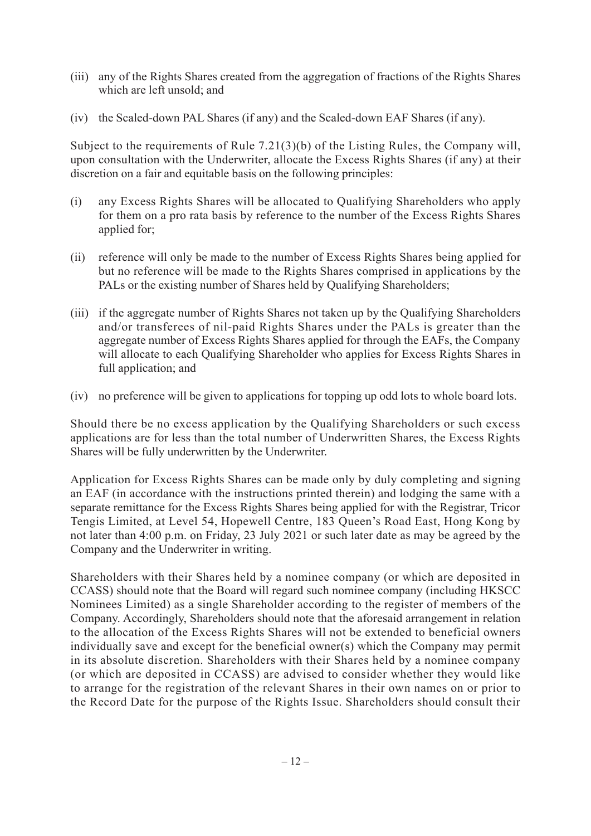- (iii) any of the Rights Shares created from the aggregation of fractions of the Rights Shares which are left unsold; and
- (iv) the Scaled-down PAL Shares (if any) and the Scaled-down EAF Shares (if any).

Subject to the requirements of Rule 7.21(3)(b) of the Listing Rules, the Company will, upon consultation with the Underwriter, allocate the Excess Rights Shares (if any) at their discretion on a fair and equitable basis on the following principles:

- (i) any Excess Rights Shares will be allocated to Qualifying Shareholders who apply for them on a pro rata basis by reference to the number of the Excess Rights Shares applied for;
- (ii) reference will only be made to the number of Excess Rights Shares being applied for but no reference will be made to the Rights Shares comprised in applications by the PALs or the existing number of Shares held by Qualifying Shareholders;
- (iii) if the aggregate number of Rights Shares not taken up by the Qualifying Shareholders and/or transferees of nil-paid Rights Shares under the PALs is greater than the aggregate number of Excess Rights Shares applied for through the EAFs, the Company will allocate to each Qualifying Shareholder who applies for Excess Rights Shares in full application; and
- (iv) no preference will be given to applications for topping up odd lots to whole board lots.

Should there be no excess application by the Qualifying Shareholders or such excess applications are for less than the total number of Underwritten Shares, the Excess Rights Shares will be fully underwritten by the Underwriter.

Application for Excess Rights Shares can be made only by duly completing and signing an EAF (in accordance with the instructions printed therein) and lodging the same with a separate remittance for the Excess Rights Shares being applied for with the Registrar, Tricor Tengis Limited, at Level 54, Hopewell Centre, 183 Queen's Road East, Hong Kong by not later than 4:00 p.m. on Friday, 23 July 2021 or such later date as may be agreed by the Company and the Underwriter in writing.

Shareholders with their Shares held by a nominee company (or which are deposited in CCASS) should note that the Board will regard such nominee company (including HKSCC Nominees Limited) as a single Shareholder according to the register of members of the Company. Accordingly, Shareholders should note that the aforesaid arrangement in relation to the allocation of the Excess Rights Shares will not be extended to beneficial owners individually save and except for the beneficial owner(s) which the Company may permit in its absolute discretion. Shareholders with their Shares held by a nominee company (or which are deposited in CCASS) are advised to consider whether they would like to arrange for the registration of the relevant Shares in their own names on or prior to the Record Date for the purpose of the Rights Issue. Shareholders should consult their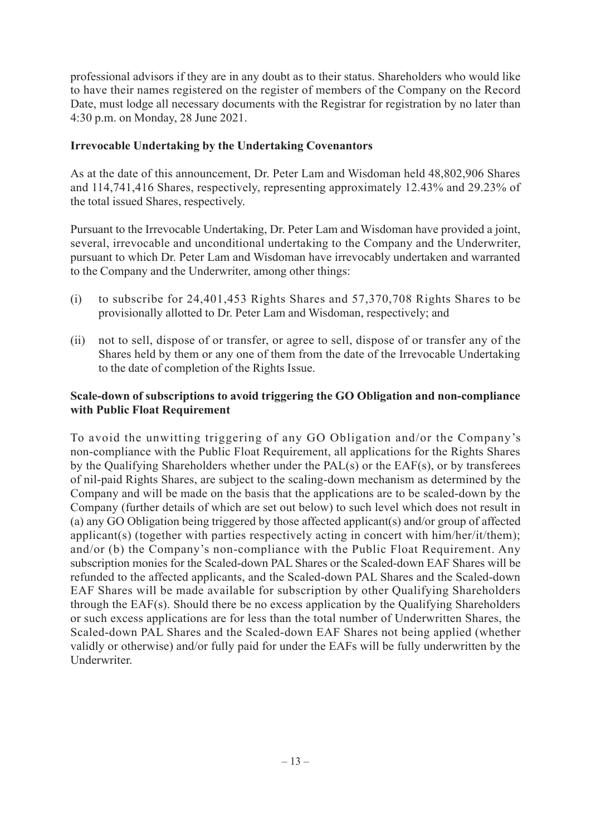professional advisors if they are in any doubt as to their status. Shareholders who would like to have their names registered on the register of members of the Company on the Record Date, must lodge all necessary documents with the Registrar for registration by no later than 4:30 p.m. on Monday, 28 June 2021.

#### **Irrevocable Undertaking by the Undertaking Covenantors**

As at the date of this announcement, Dr. Peter Lam and Wisdoman held 48,802,906 Shares and 114,741,416 Shares, respectively, representing approximately 12.43% and 29.23% of the total issued Shares, respectively.

Pursuant to the Irrevocable Undertaking, Dr. Peter Lam and Wisdoman have provided a joint, several, irrevocable and unconditional undertaking to the Company and the Underwriter, pursuant to which Dr. Peter Lam and Wisdoman have irrevocably undertaken and warranted to the Company and the Underwriter, among other things:

- (i) to subscribe for 24,401,453 Rights Shares and 57,370,708 Rights Shares to be provisionally allotted to Dr. Peter Lam and Wisdoman, respectively; and
- (ii) not to sell, dispose of or transfer, or agree to sell, dispose of or transfer any of the Shares held by them or any one of them from the date of the Irrevocable Undertaking to the date of completion of the Rights Issue.

#### **Scale-down of subscriptions to avoid triggering the GO Obligation and non-compliance with Public Float Requirement**

To avoid the unwitting triggering of any GO Obligation and/or the Company's non-compliance with the Public Float Requirement, all applications for the Rights Shares by the Qualifying Shareholders whether under the PAL(s) or the EAF(s), or by transferees of nil-paid Rights Shares, are subject to the scaling-down mechanism as determined by the Company and will be made on the basis that the applications are to be scaled-down by the Company (further details of which are set out below) to such level which does not result in (a) any GO Obligation being triggered by those affected applicant(s) and/or group of affected applicant(s) (together with parties respectively acting in concert with him/her/it/them); and/or (b) the Company's non-compliance with the Public Float Requirement. Any subscription monies for the Scaled-down PAL Shares or the Scaled-down EAF Shares will be refunded to the affected applicants, and the Scaled-down PAL Shares and the Scaled-down EAF Shares will be made available for subscription by other Qualifying Shareholders through the EAF(s). Should there be no excess application by the Qualifying Shareholders or such excess applications are for less than the total number of Underwritten Shares, the Scaled-down PAL Shares and the Scaled-down EAF Shares not being applied (whether validly or otherwise) and/or fully paid for under the EAFs will be fully underwritten by the Underwriter.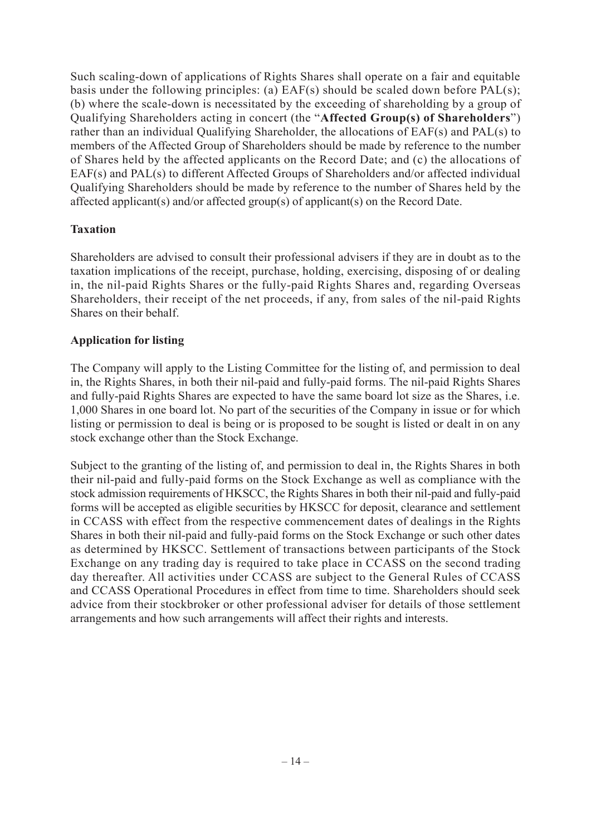Such scaling-down of applications of Rights Shares shall operate on a fair and equitable basis under the following principles: (a) EAF(s) should be scaled down before PAL(s); (b) where the scale-down is necessitated by the exceeding of shareholding by a group of Qualifying Shareholders acting in concert (the "**Affected Group(s) of Shareholders**") rather than an individual Qualifying Shareholder, the allocations of EAF(s) and PAL(s) to members of the Affected Group of Shareholders should be made by reference to the number of Shares held by the affected applicants on the Record Date; and (c) the allocations of EAF(s) and PAL(s) to different Affected Groups of Shareholders and/or affected individual Qualifying Shareholders should be made by reference to the number of Shares held by the affected applicant(s) and/or affected group(s) of applicant(s) on the Record Date.

## **Taxation**

Shareholders are advised to consult their professional advisers if they are in doubt as to the taxation implications of the receipt, purchase, holding, exercising, disposing of or dealing in, the nil-paid Rights Shares or the fully-paid Rights Shares and, regarding Overseas Shareholders, their receipt of the net proceeds, if any, from sales of the nil-paid Rights Shares on their behalf.

## **Application for listing**

The Company will apply to the Listing Committee for the listing of, and permission to deal in, the Rights Shares, in both their nil-paid and fully-paid forms. The nil-paid Rights Shares and fully-paid Rights Shares are expected to have the same board lot size as the Shares, i.e. 1,000 Shares in one board lot. No part of the securities of the Company in issue or for which listing or permission to deal is being or is proposed to be sought is listed or dealt in on any stock exchange other than the Stock Exchange.

Subject to the granting of the listing of, and permission to deal in, the Rights Shares in both their nil-paid and fully-paid forms on the Stock Exchange as well as compliance with the stock admission requirements of HKSCC, the Rights Shares in both their nil-paid and fully-paid forms will be accepted as eligible securities by HKSCC for deposit, clearance and settlement in CCASS with effect from the respective commencement dates of dealings in the Rights Shares in both their nil-paid and fully-paid forms on the Stock Exchange or such other dates as determined by HKSCC. Settlement of transactions between participants of the Stock Exchange on any trading day is required to take place in CCASS on the second trading day thereafter. All activities under CCASS are subject to the General Rules of CCASS and CCASS Operational Procedures in effect from time to time. Shareholders should seek advice from their stockbroker or other professional adviser for details of those settlement arrangements and how such arrangements will affect their rights and interests.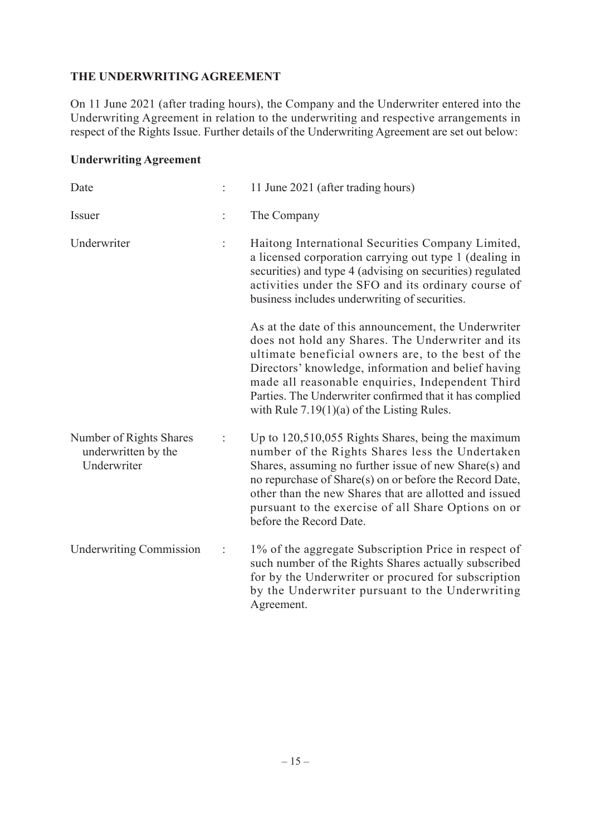#### **THE UNDERWRITING AGREEMENT**

On 11 June 2021 (after trading hours), the Company and the Underwriter entered into the Underwriting Agreement in relation to the underwriting and respective arrangements in respect of the Rights Issue. Further details of the Underwriting Agreement are set out below:

## **Underwriting Agreement**

| Date                                                          |                | 11 June 2021 (after trading hours)                                                                                                                                                                                                                                                                                                                                                    |
|---------------------------------------------------------------|----------------|---------------------------------------------------------------------------------------------------------------------------------------------------------------------------------------------------------------------------------------------------------------------------------------------------------------------------------------------------------------------------------------|
| Issuer                                                        | $\ddot{\cdot}$ | The Company                                                                                                                                                                                                                                                                                                                                                                           |
| Underwriter                                                   |                | Haitong International Securities Company Limited,<br>a licensed corporation carrying out type 1 (dealing in<br>securities) and type 4 (advising on securities) regulated<br>activities under the SFO and its ordinary course of<br>business includes underwriting of securities.                                                                                                      |
|                                                               |                | As at the date of this announcement, the Underwriter<br>does not hold any Shares. The Underwriter and its<br>ultimate beneficial owners are, to the best of the<br>Directors' knowledge, information and belief having<br>made all reasonable enquiries, Independent Third<br>Parties. The Underwriter confirmed that it has complied<br>with Rule $7.19(1)(a)$ of the Listing Rules. |
| Number of Rights Shares<br>underwritten by the<br>Underwriter |                | Up to 120,510,055 Rights Shares, being the maximum<br>number of the Rights Shares less the Undertaken<br>Shares, assuming no further issue of new Share(s) and<br>no repurchase of Share(s) on or before the Record Date,<br>other than the new Shares that are allotted and issued<br>pursuant to the exercise of all Share Options on or<br>before the Record Date.                 |
| <b>Underwriting Commission</b>                                | ÷              | 1% of the aggregate Subscription Price in respect of<br>such number of the Rights Shares actually subscribed<br>for by the Underwriter or procured for subscription<br>by the Underwriter pursuant to the Underwriting<br>Agreement.                                                                                                                                                  |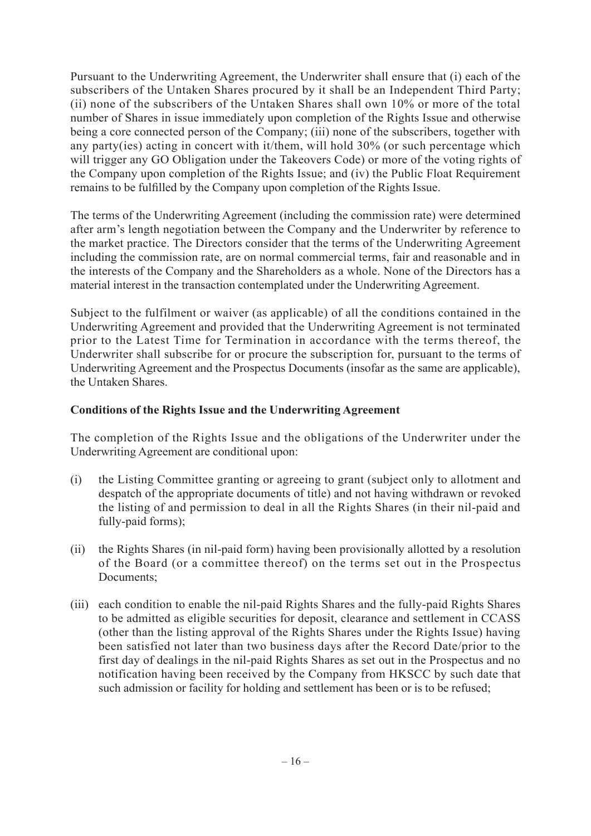Pursuant to the Underwriting Agreement, the Underwriter shall ensure that (i) each of the subscribers of the Untaken Shares procured by it shall be an Independent Third Party; (ii) none of the subscribers of the Untaken Shares shall own 10% or more of the total number of Shares in issue immediately upon completion of the Rights Issue and otherwise being a core connected person of the Company; (iii) none of the subscribers, together with any party(ies) acting in concert with it/them, will hold 30% (or such percentage which will trigger any GO Obligation under the Takeovers Code) or more of the voting rights of the Company upon completion of the Rights Issue; and (iv) the Public Float Requirement remains to be fulfilled by the Company upon completion of the Rights Issue.

The terms of the Underwriting Agreement (including the commission rate) were determined after arm's length negotiation between the Company and the Underwriter by reference to the market practice. The Directors consider that the terms of the Underwriting Agreement including the commission rate, are on normal commercial terms, fair and reasonable and in the interests of the Company and the Shareholders as a whole. None of the Directors has a material interest in the transaction contemplated under the Underwriting Agreement.

Subject to the fulfilment or waiver (as applicable) of all the conditions contained in the Underwriting Agreement and provided that the Underwriting Agreement is not terminated prior to the Latest Time for Termination in accordance with the terms thereof, the Underwriter shall subscribe for or procure the subscription for, pursuant to the terms of Underwriting Agreement and the Prospectus Documents (insofar as the same are applicable), the Untaken Shares.

#### **Conditions of the Rights Issue and the Underwriting Agreement**

The completion of the Rights Issue and the obligations of the Underwriter under the Underwriting Agreement are conditional upon:

- (i) the Listing Committee granting or agreeing to grant (subject only to allotment and despatch of the appropriate documents of title) and not having withdrawn or revoked the listing of and permission to deal in all the Rights Shares (in their nil-paid and fully-paid forms);
- (ii) the Rights Shares (in nil-paid form) having been provisionally allotted by a resolution of the Board (or a committee thereof) on the terms set out in the Prospectus Documents;
- (iii) each condition to enable the nil-paid Rights Shares and the fully-paid Rights Shares to be admitted as eligible securities for deposit, clearance and settlement in CCASS (other than the listing approval of the Rights Shares under the Rights Issue) having been satisfied not later than two business days after the Record Date/prior to the first day of dealings in the nil-paid Rights Shares as set out in the Prospectus and no notification having been received by the Company from HKSCC by such date that such admission or facility for holding and settlement has been or is to be refused;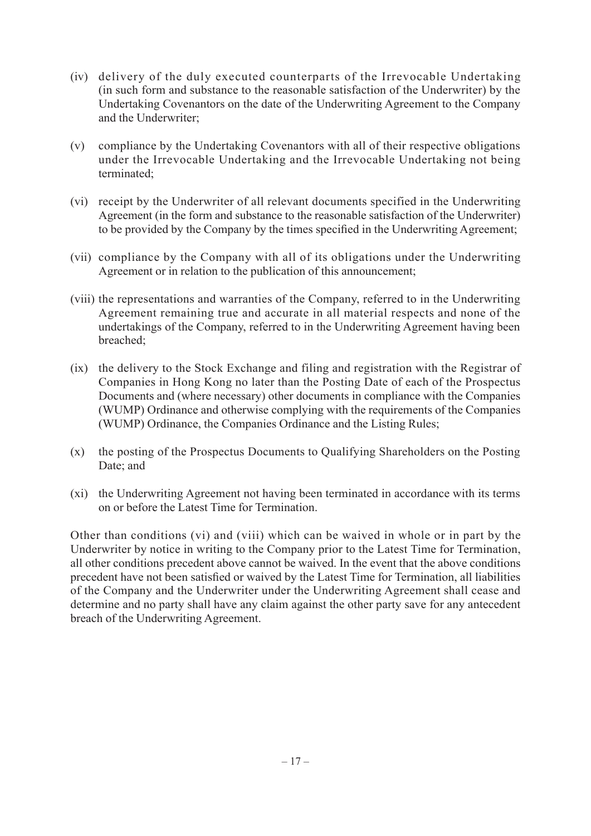- (iv) delivery of the duly executed counterparts of the Irrevocable Undertaking (in such form and substance to the reasonable satisfaction of the Underwriter) by the Undertaking Covenantors on the date of the Underwriting Agreement to the Company and the Underwriter;
- (v) compliance by the Undertaking Covenantors with all of their respective obligations under the Irrevocable Undertaking and the Irrevocable Undertaking not being terminated;
- (vi) receipt by the Underwriter of all relevant documents specified in the Underwriting Agreement (in the form and substance to the reasonable satisfaction of the Underwriter) to be provided by the Company by the times specified in the Underwriting Agreement;
- (vii) compliance by the Company with all of its obligations under the Underwriting Agreement or in relation to the publication of this announcement;
- (viii) the representations and warranties of the Company, referred to in the Underwriting Agreement remaining true and accurate in all material respects and none of the undertakings of the Company, referred to in the Underwriting Agreement having been breached;
- (ix) the delivery to the Stock Exchange and filing and registration with the Registrar of Companies in Hong Kong no later than the Posting Date of each of the Prospectus Documents and (where necessary) other documents in compliance with the Companies (WUMP) Ordinance and otherwise complying with the requirements of the Companies (WUMP) Ordinance, the Companies Ordinance and the Listing Rules;
- (x) the posting of the Prospectus Documents to Qualifying Shareholders on the Posting Date; and
- (xi) the Underwriting Agreement not having been terminated in accordance with its terms on or before the Latest Time for Termination.

Other than conditions (vi) and (viii) which can be waived in whole or in part by the Underwriter by notice in writing to the Company prior to the Latest Time for Termination, all other conditions precedent above cannot be waived. In the event that the above conditions precedent have not been satisfied or waived by the Latest Time for Termination, all liabilities of the Company and the Underwriter under the Underwriting Agreement shall cease and determine and no party shall have any claim against the other party save for any antecedent breach of the Underwriting Agreement.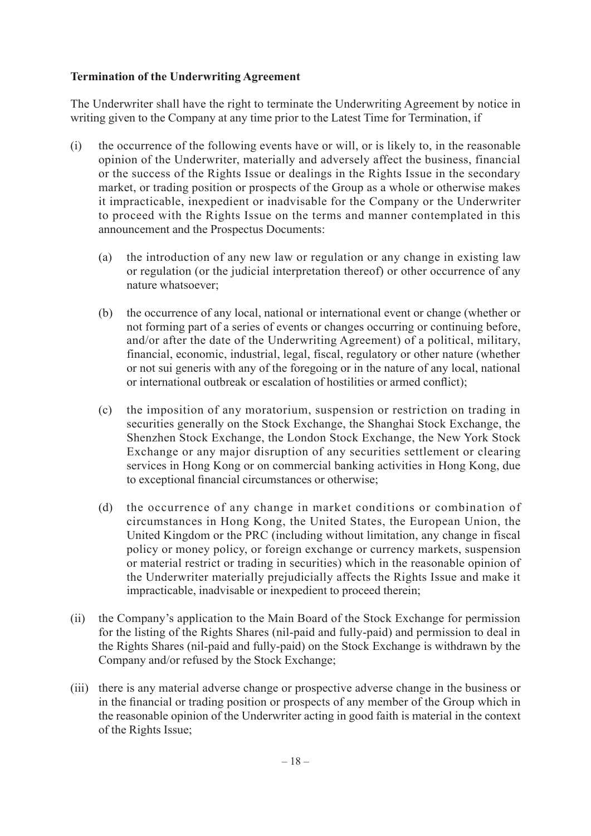#### **Termination of the Underwriting Agreement**

The Underwriter shall have the right to terminate the Underwriting Agreement by notice in writing given to the Company at any time prior to the Latest Time for Termination, if

- (i) the occurrence of the following events have or will, or is likely to, in the reasonable opinion of the Underwriter, materially and adversely affect the business, financial or the success of the Rights Issue or dealings in the Rights Issue in the secondary market, or trading position or prospects of the Group as a whole or otherwise makes it impracticable, inexpedient or inadvisable for the Company or the Underwriter to proceed with the Rights Issue on the terms and manner contemplated in this announcement and the Prospectus Documents:
	- (a) the introduction of any new law or regulation or any change in existing law or regulation (or the judicial interpretation thereof) or other occurrence of any nature whatsoever;
	- (b) the occurrence of any local, national or international event or change (whether or not forming part of a series of events or changes occurring or continuing before, and/or after the date of the Underwriting Agreement) of a political, military, financial, economic, industrial, legal, fiscal, regulatory or other nature (whether or not sui generis with any of the foregoing or in the nature of any local, national or international outbreak or escalation of hostilities or armed conflict);
	- (c) the imposition of any moratorium, suspension or restriction on trading in securities generally on the Stock Exchange, the Shanghai Stock Exchange, the Shenzhen Stock Exchange, the London Stock Exchange, the New York Stock Exchange or any major disruption of any securities settlement or clearing services in Hong Kong or on commercial banking activities in Hong Kong, due to exceptional financial circumstances or otherwise;
	- (d) the occurrence of any change in market conditions or combination of circumstances in Hong Kong, the United States, the European Union, the United Kingdom or the PRC (including without limitation, any change in fiscal policy or money policy, or foreign exchange or currency markets, suspension or material restrict or trading in securities) which in the reasonable opinion of the Underwriter materially prejudicially affects the Rights Issue and make it impracticable, inadvisable or inexpedient to proceed therein;
- (ii) the Company's application to the Main Board of the Stock Exchange for permission for the listing of the Rights Shares (nil-paid and fully-paid) and permission to deal in the Rights Shares (nil-paid and fully-paid) on the Stock Exchange is withdrawn by the Company and/or refused by the Stock Exchange;
- (iii) there is any material adverse change or prospective adverse change in the business or in the financial or trading position or prospects of any member of the Group which in the reasonable opinion of the Underwriter acting in good faith is material in the context of the Rights Issue;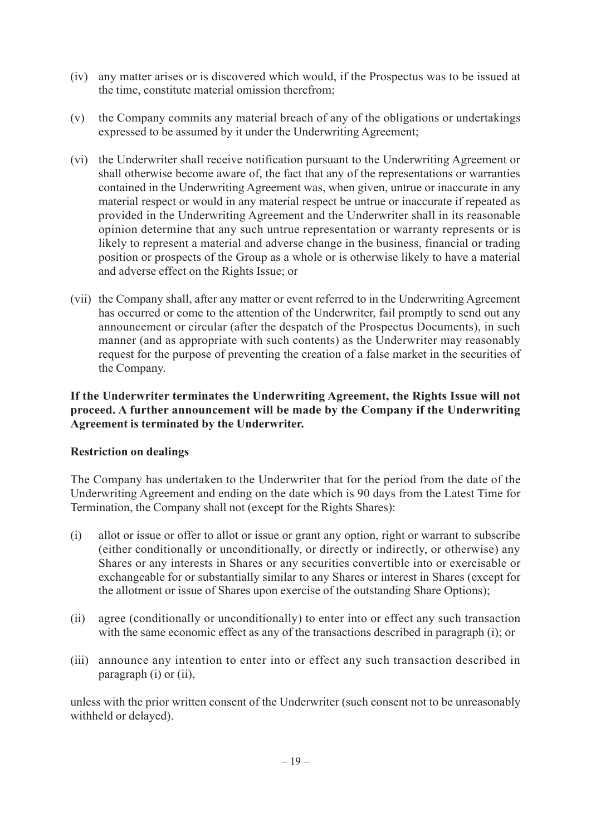- (iv) any matter arises or is discovered which would, if the Prospectus was to be issued at the time, constitute material omission therefrom;
- (v) the Company commits any material breach of any of the obligations or undertakings expressed to be assumed by it under the Underwriting Agreement;
- (vi) the Underwriter shall receive notification pursuant to the Underwriting Agreement or shall otherwise become aware of, the fact that any of the representations or warranties contained in the Underwriting Agreement was, when given, untrue or inaccurate in any material respect or would in any material respect be untrue or inaccurate if repeated as provided in the Underwriting Agreement and the Underwriter shall in its reasonable opinion determine that any such untrue representation or warranty represents or is likely to represent a material and adverse change in the business, financial or trading position or prospects of the Group as a whole or is otherwise likely to have a material and adverse effect on the Rights Issue; or
- (vii) the Company shall, after any matter or event referred to in the Underwriting Agreement has occurred or come to the attention of the Underwriter, fail promptly to send out any announcement or circular (after the despatch of the Prospectus Documents), in such manner (and as appropriate with such contents) as the Underwriter may reasonably request for the purpose of preventing the creation of a false market in the securities of the Company.

**If the Underwriter terminates the Underwriting Agreement, the Rights Issue will not proceed. A further announcement will be made by the Company if the Underwriting Agreement is terminated by the Underwriter.**

## **Restriction on dealings**

The Company has undertaken to the Underwriter that for the period from the date of the Underwriting Agreement and ending on the date which is 90 days from the Latest Time for Termination, the Company shall not (except for the Rights Shares):

- (i) allot or issue or offer to allot or issue or grant any option, right or warrant to subscribe (either conditionally or unconditionally, or directly or indirectly, or otherwise) any Shares or any interests in Shares or any securities convertible into or exercisable or exchangeable for or substantially similar to any Shares or interest in Shares (except for the allotment or issue of Shares upon exercise of the outstanding Share Options);
- (ii) agree (conditionally or unconditionally) to enter into or effect any such transaction with the same economic effect as any of the transactions described in paragraph (i); or
- (iii) announce any intention to enter into or effect any such transaction described in paragraph (i) or (ii),

unless with the prior written consent of the Underwriter (such consent not to be unreasonably withheld or delayed).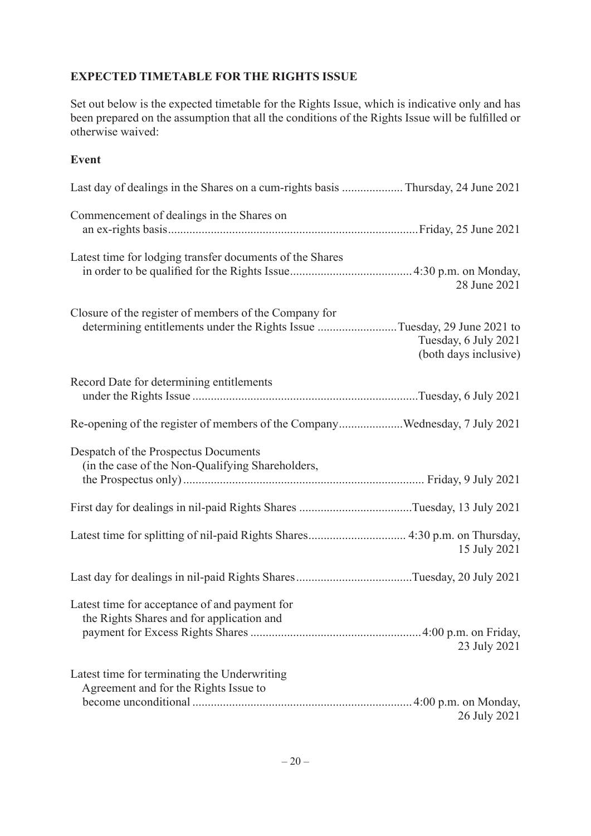## **EXPECTED TIMETABLE FOR THE RIGHTS ISSUE**

Set out below is the expected timetable for the Rights Issue, which is indicative only and has been prepared on the assumption that all the conditions of the Rights Issue will be fulfilled or otherwise waived:

#### **Event**

| Commencement of dealings in the Shares on                                                                                         |                                               |
|-----------------------------------------------------------------------------------------------------------------------------------|-----------------------------------------------|
| Latest time for lodging transfer documents of the Shares                                                                          | 28 June 2021                                  |
| Closure of the register of members of the Company for<br>determining entitlements under the Rights Issue Tuesday, 29 June 2021 to | Tuesday, 6 July 2021<br>(both days inclusive) |
| Record Date for determining entitlements                                                                                          |                                               |
| Re-opening of the register of members of the CompanyWednesday, 7 July 2021                                                        |                                               |
| Despatch of the Prospectus Documents<br>(in the case of the Non-Qualifying Shareholders,                                          |                                               |
|                                                                                                                                   |                                               |
| Latest time for splitting of nil-paid Rights Shares 4:30 p.m. on Thursday,                                                        | 15 July 2021                                  |
|                                                                                                                                   |                                               |
| Latest time for acceptance of and payment for<br>the Rights Shares and for application and                                        | 23 July 2021                                  |
| Latest time for terminating the Underwriting<br>Agreement and for the Rights Issue to                                             | 26 July 2021                                  |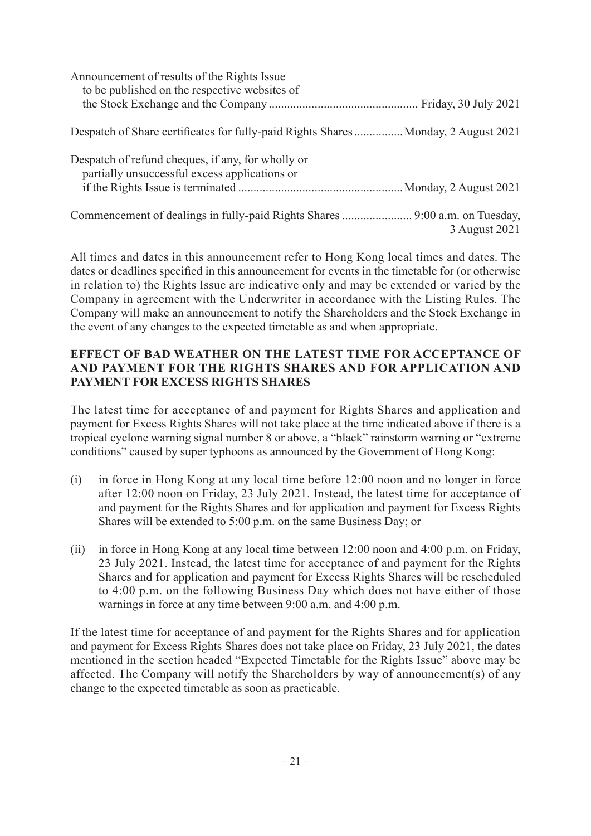| Announcement of results of the Rights Issue<br>to be published on the respective websites of       |               |
|----------------------------------------------------------------------------------------------------|---------------|
|                                                                                                    |               |
| Despatch of Share certificates for fully-paid Rights Shares Monday, 2 August 2021                  |               |
| Despatch of refund cheques, if any, for wholly or<br>partially unsuccessful excess applications or |               |
|                                                                                                    |               |
|                                                                                                    |               |
|                                                                                                    | 3 August 2021 |

All times and dates in this announcement refer to Hong Kong local times and dates. The dates or deadlines specified in this announcement for events in the timetable for (or otherwise in relation to) the Rights Issue are indicative only and may be extended or varied by the Company in agreement with the Underwriter in accordance with the Listing Rules. The Company will make an announcement to notify the Shareholders and the Stock Exchange in the event of any changes to the expected timetable as and when appropriate.

## **EFFECT OF BAD WEATHER ON THE LATEST TIME FOR ACCEPTANCE OF AND PAYMENT FOR THE RIGHTS SHARES AND FOR APPLICATION AND PAYMENT FOR EXCESS RIGHTS SHARES**

The latest time for acceptance of and payment for Rights Shares and application and payment for Excess Rights Shares will not take place at the time indicated above if there is a tropical cyclone warning signal number 8 or above, a "black" rainstorm warning or "extreme conditions" caused by super typhoons as announced by the Government of Hong Kong:

- (i) in force in Hong Kong at any local time before 12:00 noon and no longer in force after 12:00 noon on Friday, 23 July 2021. Instead, the latest time for acceptance of and payment for the Rights Shares and for application and payment for Excess Rights Shares will be extended to 5:00 p.m. on the same Business Day; or
- (ii) in force in Hong Kong at any local time between 12:00 noon and 4:00 p.m. on Friday, 23 July 2021. Instead, the latest time for acceptance of and payment for the Rights Shares and for application and payment for Excess Rights Shares will be rescheduled to 4:00 p.m. on the following Business Day which does not have either of those warnings in force at any time between 9:00 a.m. and 4:00 p.m.

If the latest time for acceptance of and payment for the Rights Shares and for application and payment for Excess Rights Shares does not take place on Friday, 23 July 2021, the dates mentioned in the section headed "Expected Timetable for the Rights Issue" above may be affected. The Company will notify the Shareholders by way of announcement(s) of any change to the expected timetable as soon as practicable.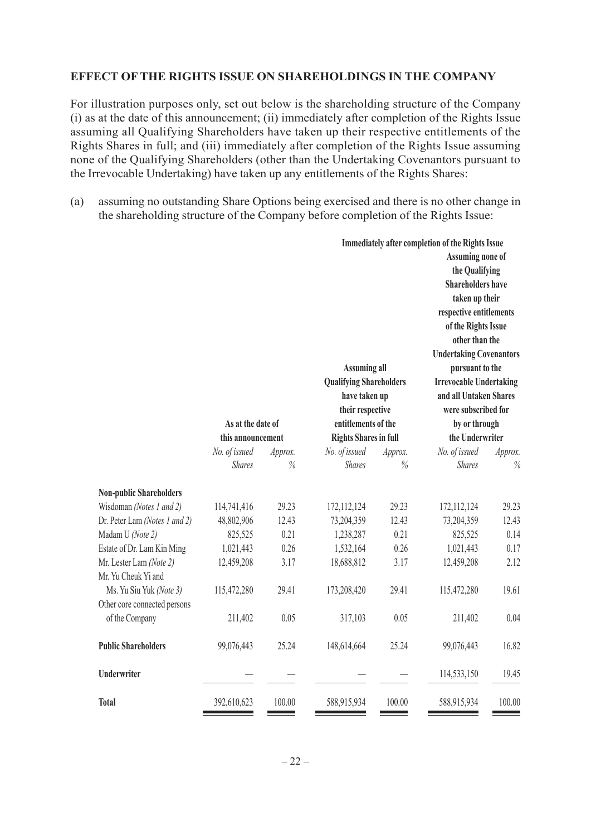## **EFFECT OF THE RIGHTS ISSUE ON SHAREHOLDINGS IN THE COMPANY**

For illustration purposes only, set out below is the shareholding structure of the Company (i) as at the date of this announcement; (ii) immediately after completion of the Rights Issue assuming all Qualifying Shareholders have taken up their respective entitlements of the Rights Shares in full; and (iii) immediately after completion of the Rights Issue assuming none of the Qualifying Shareholders (other than the Undertaking Covenantors pursuant to the Irrevocable Undertaking) have taken up any entitlements of the Rights Shares:

(a) assuming no outstanding Share Options being exercised and there is no other change in the shareholding structure of the Company before completion of the Rights Issue:

|                                | As at the date of |               | <b>Assuming all</b><br><b>Qualifying Shareholders</b><br>have taken up<br>their respective<br>entitlements of the |               | <b>Immediately after completion of the Rights Issue</b><br>Assuming none of<br>the Qualifying<br><b>Shareholders have</b><br>taken up their<br>respective entitlements<br>of the Rights Issue<br>other than the<br><b>Undertaking Covenantors</b><br>pursuant to the<br><b>Irrevocable Undertaking</b><br>and all Untaken Shares<br>were subscribed for<br>by or through |         |
|--------------------------------|-------------------|---------------|-------------------------------------------------------------------------------------------------------------------|---------------|--------------------------------------------------------------------------------------------------------------------------------------------------------------------------------------------------------------------------------------------------------------------------------------------------------------------------------------------------------------------------|---------|
|                                | this announcement |               | <b>Rights Shares in full</b>                                                                                      |               | the Underwriter                                                                                                                                                                                                                                                                                                                                                          |         |
|                                | No. of issued     | Approx.       | No. of issued                                                                                                     | Approx.       | No. of issued                                                                                                                                                                                                                                                                                                                                                            | Approx. |
|                                | <b>Shares</b>     | $\frac{9}{6}$ | <b>Shares</b>                                                                                                     | $\frac{0}{0}$ | <b>Shares</b>                                                                                                                                                                                                                                                                                                                                                            | $\%$    |
| <b>Non-public Shareholders</b> |                   |               |                                                                                                                   |               |                                                                                                                                                                                                                                                                                                                                                                          |         |
| Wisdoman (Notes 1 and 2)       | 114,741,416       | 29.23         | 172, 112, 124                                                                                                     | 29.23         | 172, 112, 124                                                                                                                                                                                                                                                                                                                                                            | 29.23   |
| Dr. Peter Lam (Notes 1 and 2)  | 48,802,906        | 12.43         | 73,204,359                                                                                                        | 12.43         | 73,204,359                                                                                                                                                                                                                                                                                                                                                               | 12.43   |
| Madam U (Note 2)               | 825,525           | 0.21          | 1,238,287                                                                                                         | 0.21          | 825,525                                                                                                                                                                                                                                                                                                                                                                  | 0.14    |
| Estate of Dr. Lam Kin Ming     | 1,021,443         | 0.26          | 1,532,164                                                                                                         | 0.26          | 1,021,443                                                                                                                                                                                                                                                                                                                                                                | 0.17    |
| Mr. Lester Lam (Note 2)        | 12,459,208        | 3.17          | 18,688,812                                                                                                        | 3.17          | 12,459,208                                                                                                                                                                                                                                                                                                                                                               | 2.12    |
| Mr. Yu Cheuk Yi and            |                   |               |                                                                                                                   |               |                                                                                                                                                                                                                                                                                                                                                                          |         |
| Ms. Yu Siu Yuk (Note 3)        | 115,472,280       | 29.41         | 173,208,420                                                                                                       | 29.41         | 115,472,280                                                                                                                                                                                                                                                                                                                                                              | 19.61   |
| Other core connected persons   |                   |               |                                                                                                                   |               |                                                                                                                                                                                                                                                                                                                                                                          |         |
| of the Company                 | 211,402           | 0.05          | 317,103                                                                                                           | 0.05          | 211,402                                                                                                                                                                                                                                                                                                                                                                  | 0.04    |
| <b>Public Shareholders</b>     | 99,076,443        | 25.24         | 148,614,664                                                                                                       | 25.24         | 99,076,443                                                                                                                                                                                                                                                                                                                                                               | 16.82   |
| Underwriter                    |                   |               |                                                                                                                   |               | 114,533,150                                                                                                                                                                                                                                                                                                                                                              | 19.45   |
| <b>Total</b>                   | 392,610,623       | 100.00        | 588,915,934                                                                                                       | 100.00        | 588,915,934                                                                                                                                                                                                                                                                                                                                                              | 100.00  |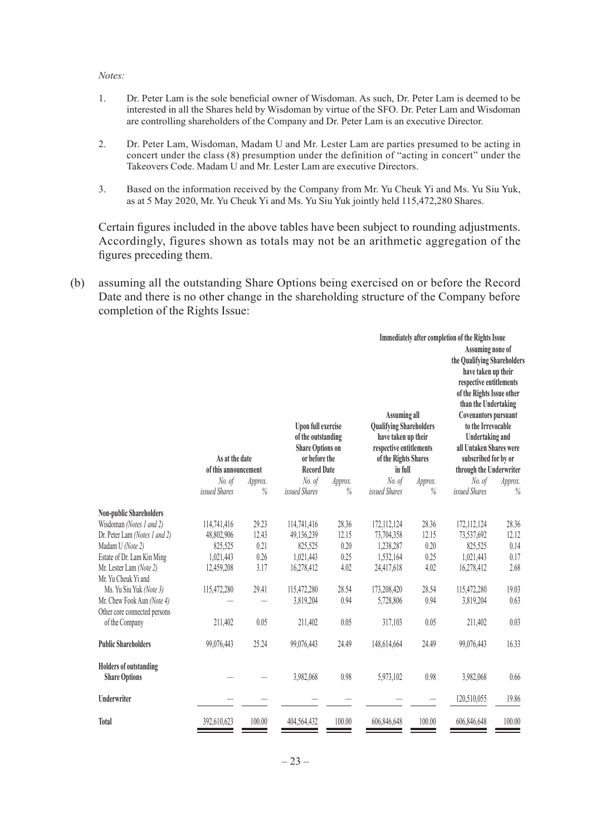#### *Notes:*

- 1. Dr. Peter Lam is the sole beneficial owner of Wisdoman. As such, Dr. Peter Lam is deemed to be interested in all the Shares held by Wisdoman by virtue of the SFO. Dr. Peter Lam and Wisdoman are controlling shareholders of the Company and Dr. Peter Lam is an executive Director.
- 2. Dr. Peter Lam, Wisdoman, Madam U and Mr. Lester Lam are parties presumed to be acting in concert under the class (8) presumption under the definition of "acting in concert" under the Takeovers Code. Madam U and Mr. Lester Lam are executive Directors.
- 3. Based on the information received by the Company from Mr. Yu Cheuk Yi and Ms. Yu Siu Yuk, as at 5 May 2020, Mr. Yu Cheuk Yi and Ms. Yu Siu Yuk jointly held 115,472,280 Shares.

Certain figures included in the above tables have been subject to rounding adjustments. Accordingly, figures shown as totals may not be an arithmetic aggregation of the figures preceding them.

(b) assuming all the outstanding Share Options being exercised on or before the Record Date and there is no other change in the shareholding structure of the Company before completion of the Rights Issue:

|                                                                                                                                                                                                                                                                                                            |                                                                                           |                                                         |                                                                                                                   |                                                                 |                                                                                                                                            |                                                                 | <b>Immediately after completion of the Rights Issue</b>                                                                                                                                                                                                                                                      |                                                                 |
|------------------------------------------------------------------------------------------------------------------------------------------------------------------------------------------------------------------------------------------------------------------------------------------------------------|-------------------------------------------------------------------------------------------|---------------------------------------------------------|-------------------------------------------------------------------------------------------------------------------|-----------------------------------------------------------------|--------------------------------------------------------------------------------------------------------------------------------------------|-----------------------------------------------------------------|--------------------------------------------------------------------------------------------------------------------------------------------------------------------------------------------------------------------------------------------------------------------------------------------------------------|-----------------------------------------------------------------|
|                                                                                                                                                                                                                                                                                                            | As at the date<br>of this announcement                                                    |                                                         | <b>Upon full exercise</b><br>of the outstanding<br><b>Share Options on</b><br>or before the<br><b>Record Date</b> |                                                                 | <b>Assuming all</b><br><b>Qualifying Shareholders</b><br>have taken up their<br>respective entitlements<br>of the Rights Shares<br>in full |                                                                 | Assuming none of<br>the Qualifying Shareholders<br>have taken up their<br>respective entitlements<br>of the Rights Issue other<br>than the Undertaking<br><b>Covenantors pursuant</b><br>to the Irrevocable<br>Undertaking and<br>all Untaken Shares were<br>subscribed for by or<br>through the Underwriter |                                                                 |
|                                                                                                                                                                                                                                                                                                            | No. of                                                                                    | Approx.                                                 | No. of                                                                                                            | Approx.                                                         | No. of                                                                                                                                     | Approx.                                                         | No. of                                                                                                                                                                                                                                                                                                       | Approx.                                                         |
|                                                                                                                                                                                                                                                                                                            | issued Shares                                                                             | $\%$                                                    | issued Shares                                                                                                     | $\%$                                                            | issued Shares                                                                                                                              | $\%$                                                            | issued Shares                                                                                                                                                                                                                                                                                                | $\%$                                                            |
| <b>Non-public Shareholders</b><br>Wisdoman (Notes 1 and 2)<br>Dr. Peter Lam (Notes 1 and 2)<br>Madam U (Note 2)<br>Estate of Dr. Lam Kin Ming<br>Mr. Lester Lam (Note 2)<br>Mr. Yu Cheuk Yi and<br>Ms. Yu Siu Yuk (Note 3)<br>Mr. Chew Fook Aun (Note 4)<br>Other core connected persons<br>of the Company | 114,741,416<br>48,802,906<br>825,525<br>1,021,443<br>12,459,208<br>115,472,280<br>211,402 | 29.23<br>12.43<br>0.21<br>0.26<br>3.17<br>29.41<br>0.05 | 114,741,416<br>49,136,239<br>825,525<br>1,021,443<br>16,278,412<br>115,472,280<br>3,819,204<br>211,402            | 28.36<br>12.15<br>0.20<br>0.25<br>4.02<br>28.54<br>0.94<br>0.05 | 172, 112, 124<br>73,704,358<br>1,238,287<br>1,532,164<br>24,417,618<br>173,208,420<br>5,728,806<br>317,103                                 | 28.36<br>12.15<br>0.20<br>0.25<br>4.02<br>28.54<br>0.94<br>0.05 | 172,112,124<br>73,537,692<br>825,525<br>1,021,443<br>16,278,412<br>115,472,280<br>3,819,204<br>211,402                                                                                                                                                                                                       | 28.36<br>12.12<br>0.14<br>0.17<br>2.68<br>19.03<br>0.63<br>0.03 |
| <b>Public Shareholders</b>                                                                                                                                                                                                                                                                                 | 99,076,443                                                                                | 25.24                                                   | 99,076,443                                                                                                        | 24.49                                                           | 148,614,664                                                                                                                                | 24.49                                                           | 99,076,443                                                                                                                                                                                                                                                                                                   | 16.33                                                           |
| <b>Holders of outstanding</b><br><b>Share Options</b><br><b>Underwriter</b>                                                                                                                                                                                                                                |                                                                                           |                                                         | 3,982,068                                                                                                         | 0.98                                                            | 5,973,102                                                                                                                                  | 0.98                                                            | 3,982,068<br>120,510,055                                                                                                                                                                                                                                                                                     | 0.66<br>19.86                                                   |
| Total                                                                                                                                                                                                                                                                                                      | 392,610,623                                                                               | 100.00                                                  | 404,564,432                                                                                                       | 100.00                                                          | 606,846,648                                                                                                                                | 100.00                                                          | 606,846,648                                                                                                                                                                                                                                                                                                  | 100.00                                                          |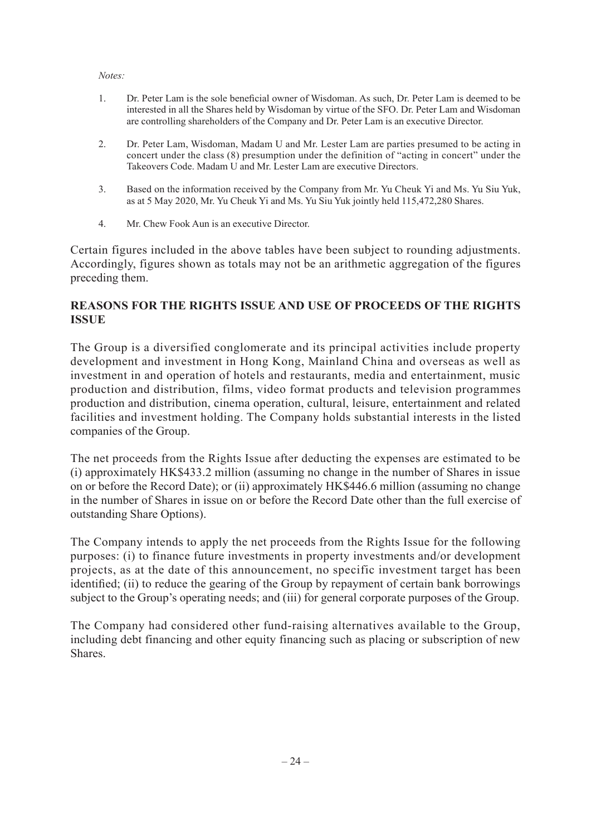#### *Notes:*

- 1. Dr. Peter Lam is the sole beneficial owner of Wisdoman. As such, Dr. Peter Lam is deemed to be interested in all the Shares held by Wisdoman by virtue of the SFO. Dr. Peter Lam and Wisdoman are controlling shareholders of the Company and Dr. Peter Lam is an executive Director.
- 2. Dr. Peter Lam, Wisdoman, Madam U and Mr. Lester Lam are parties presumed to be acting in concert under the class (8) presumption under the definition of "acting in concert" under the Takeovers Code. Madam U and Mr. Lester Lam are executive Directors.
- 3. Based on the information received by the Company from Mr. Yu Cheuk Yi and Ms. Yu Siu Yuk, as at 5 May 2020, Mr. Yu Cheuk Yi and Ms. Yu Siu Yuk jointly held 115,472,280 Shares.
- 4. Mr. Chew Fook Aun is an executive Director.

Certain figures included in the above tables have been subject to rounding adjustments. Accordingly, figures shown as totals may not be an arithmetic aggregation of the figures preceding them.

#### **REASONS FOR THE RIGHTS ISSUE AND USE OF PROCEEDS OF THE RIGHTS ISSUE**

The Group is a diversified conglomerate and its principal activities include property development and investment in Hong Kong, Mainland China and overseas as well as investment in and operation of hotels and restaurants, media and entertainment, music production and distribution, films, video format products and television programmes production and distribution, cinema operation, cultural, leisure, entertainment and related facilities and investment holding. The Company holds substantial interests in the listed companies of the Group.

The net proceeds from the Rights Issue after deducting the expenses are estimated to be (i) approximately HK\$433.2 million (assuming no change in the number of Shares in issue on or before the Record Date); or (ii) approximately HK\$446.6 million (assuming no change in the number of Shares in issue on or before the Record Date other than the full exercise of outstanding Share Options).

The Company intends to apply the net proceeds from the Rights Issue for the following purposes: (i) to finance future investments in property investments and/or development projects, as at the date of this announcement, no specific investment target has been identified; (ii) to reduce the gearing of the Group by repayment of certain bank borrowings subject to the Group's operating needs; and (iii) for general corporate purposes of the Group.

The Company had considered other fund-raising alternatives available to the Group, including debt financing and other equity financing such as placing or subscription of new Shares.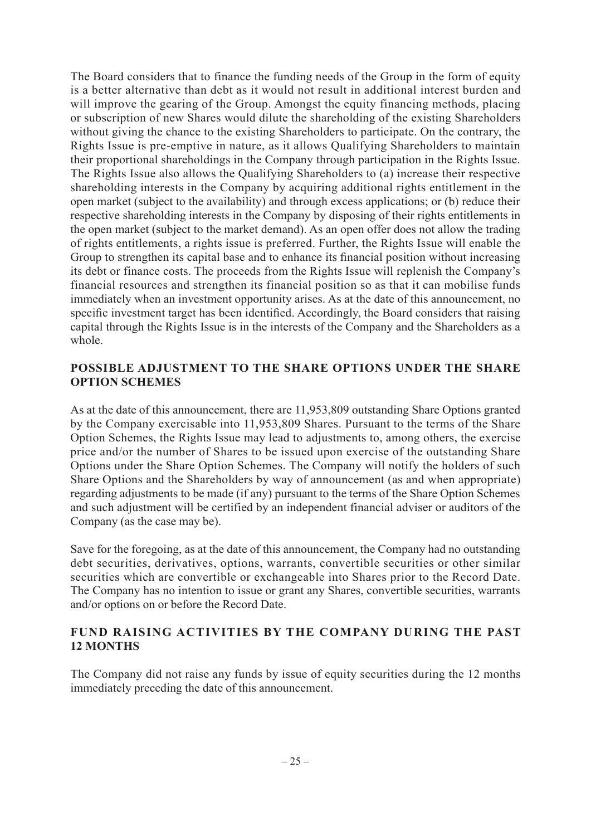The Board considers that to finance the funding needs of the Group in the form of equity is a better alternative than debt as it would not result in additional interest burden and will improve the gearing of the Group. Amongst the equity financing methods, placing or subscription of new Shares would dilute the shareholding of the existing Shareholders without giving the chance to the existing Shareholders to participate. On the contrary, the Rights Issue is pre-emptive in nature, as it allows Qualifying Shareholders to maintain their proportional shareholdings in the Company through participation in the Rights Issue. The Rights Issue also allows the Qualifying Shareholders to (a) increase their respective shareholding interests in the Company by acquiring additional rights entitlement in the open market (subject to the availability) and through excess applications; or (b) reduce their respective shareholding interests in the Company by disposing of their rights entitlements in the open market (subject to the market demand). As an open offer does not allow the trading of rights entitlements, a rights issue is preferred. Further, the Rights Issue will enable the Group to strengthen its capital base and to enhance its financial position without increasing its debt or finance costs. The proceeds from the Rights Issue will replenish the Company's financial resources and strengthen its financial position so as that it can mobilise funds immediately when an investment opportunity arises. As at the date of this announcement, no specific investment target has been identified. Accordingly, the Board considers that raising capital through the Rights Issue is in the interests of the Company and the Shareholders as a whole.

#### **POSSIBLE ADJUSTMENT TO THE SHARE OPTIONS UNDER THE SHARE OPTION SCHEMES**

As at the date of this announcement, there are 11,953,809 outstanding Share Options granted by the Company exercisable into 11,953,809 Shares. Pursuant to the terms of the Share Option Schemes, the Rights Issue may lead to adjustments to, among others, the exercise price and/or the number of Shares to be issued upon exercise of the outstanding Share Options under the Share Option Schemes. The Company will notify the holders of such Share Options and the Shareholders by way of announcement (as and when appropriate) regarding adjustments to be made (if any) pursuant to the terms of the Share Option Schemes and such adjustment will be certified by an independent financial adviser or auditors of the Company (as the case may be).

Save for the foregoing, as at the date of this announcement, the Company had no outstanding debt securities, derivatives, options, warrants, convertible securities or other similar securities which are convertible or exchangeable into Shares prior to the Record Date. The Company has no intention to issue or grant any Shares, convertible securities, warrants and/or options on or before the Record Date.

#### **FUND RAISING ACTIVITIES BY THE COMPANY DURING THE PAST 12 MONTHS**

The Company did not raise any funds by issue of equity securities during the 12 months immediately preceding the date of this announcement.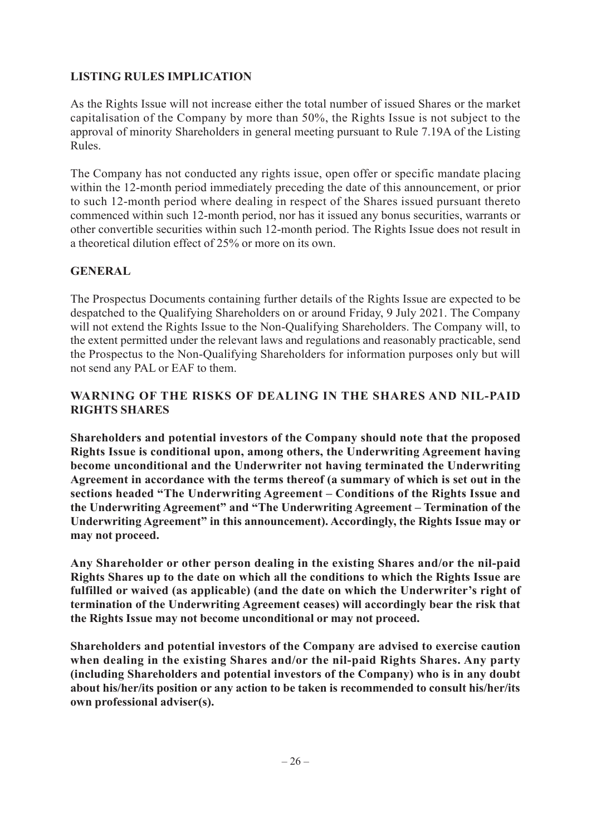## **LISTING RULES IMPLICATION**

As the Rights Issue will not increase either the total number of issued Shares or the market capitalisation of the Company by more than 50%, the Rights Issue is not subject to the approval of minority Shareholders in general meeting pursuant to Rule 7.19A of the Listing Rules.

The Company has not conducted any rights issue, open offer or specific mandate placing within the 12-month period immediately preceding the date of this announcement, or prior to such 12-month period where dealing in respect of the Shares issued pursuant thereto commenced within such 12-month period, nor has it issued any bonus securities, warrants or other convertible securities within such 12-month period. The Rights Issue does not result in a theoretical dilution effect of 25% or more on its own.

#### **GENERAL**

The Prospectus Documents containing further details of the Rights Issue are expected to be despatched to the Qualifying Shareholders on or around Friday, 9 July 2021. The Company will not extend the Rights Issue to the Non-Qualifying Shareholders. The Company will, to the extent permitted under the relevant laws and regulations and reasonably practicable, send the Prospectus to the Non-Qualifying Shareholders for information purposes only but will not send any PAL or EAF to them.

## **WARNING OF THE RISKS OF DEALING IN THE SHARES AND NIL-PAID RIGHTS SHARES**

**Shareholders and potential investors of the Company should note that the proposed Rights Issue is conditional upon, among others, the Underwriting Agreement having become unconditional and the Underwriter not having terminated the Underwriting Agreement in accordance with the terms thereof (a summary of which is set out in the sections headed "The Underwriting Agreement – Conditions of the Rights Issue and the Underwriting Agreement" and "The Underwriting Agreement – Termination of the Underwriting Agreement" in this announcement). Accordingly, the Rights Issue may or may not proceed.**

**Any Shareholder or other person dealing in the existing Shares and/or the nil-paid Rights Shares up to the date on which all the conditions to which the Rights Issue are fulfilled or waived (as applicable) (and the date on which the Underwriter's right of termination of the Underwriting Agreement ceases) will accordingly bear the risk that the Rights Issue may not become unconditional or may not proceed.**

**Shareholders and potential investors of the Company are advised to exercise caution when dealing in the existing Shares and/or the nil-paid Rights Shares. Any party (including Shareholders and potential investors of the Company) who is in any doubt about his/her/its position or any action to be taken is recommended to consult his/her/its own professional adviser(s).**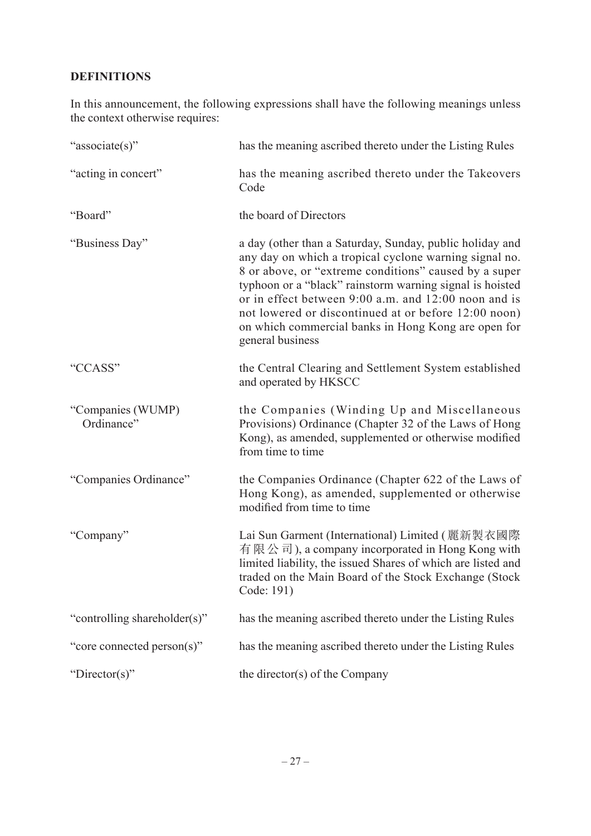# **DEFINITIONS**

In this announcement, the following expressions shall have the following meanings unless the context otherwise requires:

| "associate(s)"                  | has the meaning ascribed thereto under the Listing Rules                                                                                                                                                                                                                                                                                                                                                                           |
|---------------------------------|------------------------------------------------------------------------------------------------------------------------------------------------------------------------------------------------------------------------------------------------------------------------------------------------------------------------------------------------------------------------------------------------------------------------------------|
| "acting in concert"             | has the meaning ascribed thereto under the Takeovers<br>Code                                                                                                                                                                                                                                                                                                                                                                       |
| "Board"                         | the board of Directors                                                                                                                                                                                                                                                                                                                                                                                                             |
| "Business Day"                  | a day (other than a Saturday, Sunday, public holiday and<br>any day on which a tropical cyclone warning signal no.<br>8 or above, or "extreme conditions" caused by a super<br>typhoon or a "black" rainstorm warning signal is hoisted<br>or in effect between 9:00 a.m. and 12:00 noon and is<br>not lowered or discontinued at or before 12:00 noon)<br>on which commercial banks in Hong Kong are open for<br>general business |
| "CCASS"                         | the Central Clearing and Settlement System established<br>and operated by HKSCC                                                                                                                                                                                                                                                                                                                                                    |
| "Companies (WUMP)<br>Ordinance" | the Companies (Winding Up and Miscellaneous<br>Provisions) Ordinance (Chapter 32 of the Laws of Hong<br>Kong), as amended, supplemented or otherwise modified<br>from time to time                                                                                                                                                                                                                                                 |
| "Companies Ordinance"           | the Companies Ordinance (Chapter 622 of the Laws of<br>Hong Kong), as amended, supplemented or otherwise<br>modified from time to time                                                                                                                                                                                                                                                                                             |
| "Company"                       | Lai Sun Garment (International) Limited (麗新製衣國際<br>有限公司), a company incorporated in Hong Kong with<br>limited liability, the issued Shares of which are listed and<br>traded on the Main Board of the Stock Exchange (Stock<br>Code: 191)                                                                                                                                                                                          |
| "controlling shareholder(s)"    | has the meaning ascribed thereto under the Listing Rules                                                                                                                                                                                                                                                                                                                                                                           |
| "core connected person(s)"      | has the meaning ascribed thereto under the Listing Rules                                                                                                                                                                                                                                                                                                                                                                           |
| "Director(s)"                   | the director(s) of the Company                                                                                                                                                                                                                                                                                                                                                                                                     |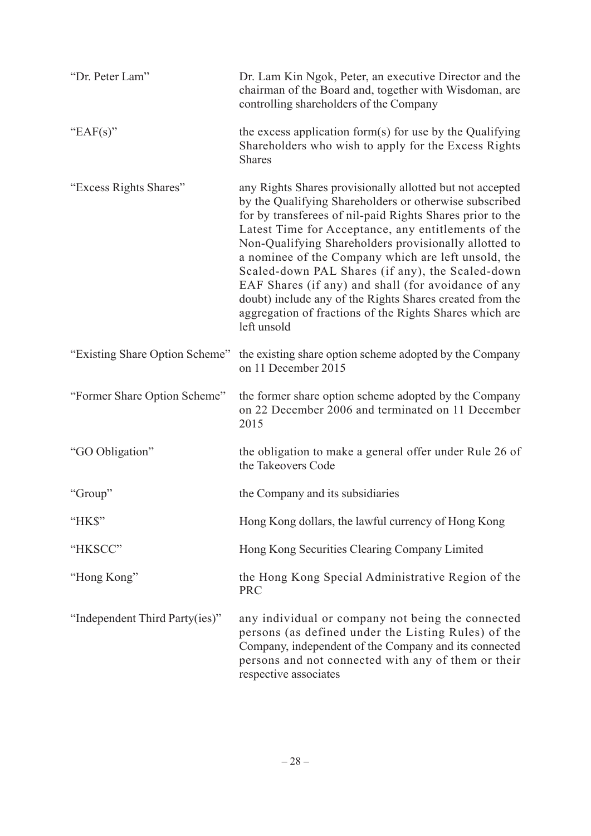| "Dr. Peter Lam"                | Dr. Lam Kin Ngok, Peter, an executive Director and the<br>chairman of the Board and, together with Wisdoman, are<br>controlling shareholders of the Company                                                                                                                                                                                                                                                                                                                                                                                                                                              |
|--------------------------------|----------------------------------------------------------------------------------------------------------------------------------------------------------------------------------------------------------------------------------------------------------------------------------------------------------------------------------------------------------------------------------------------------------------------------------------------------------------------------------------------------------------------------------------------------------------------------------------------------------|
| "EAF(s)"                       | the excess application form(s) for use by the Qualifying<br>Shareholders who wish to apply for the Excess Rights<br><b>Shares</b>                                                                                                                                                                                                                                                                                                                                                                                                                                                                        |
| "Excess Rights Shares"         | any Rights Shares provisionally allotted but not accepted<br>by the Qualifying Shareholders or otherwise subscribed<br>for by transferees of nil-paid Rights Shares prior to the<br>Latest Time for Acceptance, any entitlements of the<br>Non-Qualifying Shareholders provisionally allotted to<br>a nominee of the Company which are left unsold, the<br>Scaled-down PAL Shares (if any), the Scaled-down<br>EAF Shares (if any) and shall (for avoidance of any<br>doubt) include any of the Rights Shares created from the<br>aggregation of fractions of the Rights Shares which are<br>left unsold |
| "Existing Share Option Scheme" | the existing share option scheme adopted by the Company<br>on 11 December 2015                                                                                                                                                                                                                                                                                                                                                                                                                                                                                                                           |
| "Former Share Option Scheme"   | the former share option scheme adopted by the Company<br>on 22 December 2006 and terminated on 11 December<br>2015                                                                                                                                                                                                                                                                                                                                                                                                                                                                                       |
| "GO Obligation"                | the obligation to make a general offer under Rule 26 of<br>the Takeovers Code                                                                                                                                                                                                                                                                                                                                                                                                                                                                                                                            |
| "Group"                        | the Company and its subsidiaries                                                                                                                                                                                                                                                                                                                                                                                                                                                                                                                                                                         |
| "HK\$"                         | Hong Kong dollars, the lawful currency of Hong Kong                                                                                                                                                                                                                                                                                                                                                                                                                                                                                                                                                      |
| "HKSCC"                        | Hong Kong Securities Clearing Company Limited                                                                                                                                                                                                                                                                                                                                                                                                                                                                                                                                                            |
| "Hong Kong"                    | the Hong Kong Special Administrative Region of the<br><b>PRC</b>                                                                                                                                                                                                                                                                                                                                                                                                                                                                                                                                         |
| "Independent Third Party(ies)" | any individual or company not being the connected<br>persons (as defined under the Listing Rules) of the<br>Company, independent of the Company and its connected<br>persons and not connected with any of them or their<br>respective associates                                                                                                                                                                                                                                                                                                                                                        |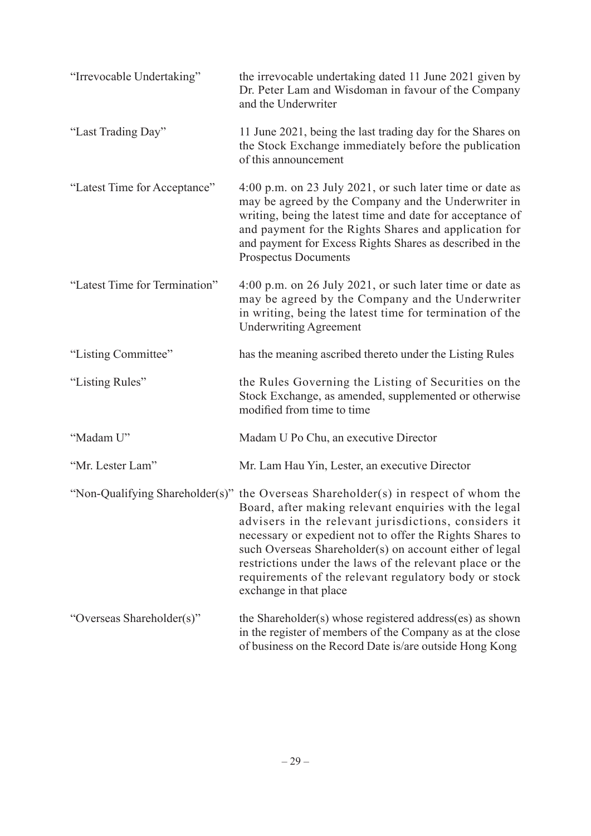| "Irrevocable Undertaking"     | the irrevocable undertaking dated 11 June 2021 given by<br>Dr. Peter Lam and Wisdoman in favour of the Company<br>and the Underwriter                                                                                                                                                                                                                                                                                                                                     |
|-------------------------------|---------------------------------------------------------------------------------------------------------------------------------------------------------------------------------------------------------------------------------------------------------------------------------------------------------------------------------------------------------------------------------------------------------------------------------------------------------------------------|
| "Last Trading Day"            | 11 June 2021, being the last trading day for the Shares on<br>the Stock Exchange immediately before the publication<br>of this announcement                                                                                                                                                                                                                                                                                                                               |
| "Latest Time for Acceptance"  | 4:00 p.m. on 23 July 2021, or such later time or date as<br>may be agreed by the Company and the Underwriter in<br>writing, being the latest time and date for acceptance of<br>and payment for the Rights Shares and application for<br>and payment for Excess Rights Shares as described in the<br><b>Prospectus Documents</b>                                                                                                                                          |
| "Latest Time for Termination" | 4:00 p.m. on 26 July 2021, or such later time or date as<br>may be agreed by the Company and the Underwriter<br>in writing, being the latest time for termination of the<br><b>Underwriting Agreement</b>                                                                                                                                                                                                                                                                 |
| "Listing Committee"           | has the meaning ascribed thereto under the Listing Rules                                                                                                                                                                                                                                                                                                                                                                                                                  |
| "Listing Rules"               | the Rules Governing the Listing of Securities on the<br>Stock Exchange, as amended, supplemented or otherwise<br>modified from time to time                                                                                                                                                                                                                                                                                                                               |
| "Madam U"                     | Madam U Po Chu, an executive Director                                                                                                                                                                                                                                                                                                                                                                                                                                     |
| "Mr. Lester Lam"              | Mr. Lam Hau Yin, Lester, an executive Director                                                                                                                                                                                                                                                                                                                                                                                                                            |
|                               | "Non-Qualifying Shareholder(s)" the Overseas Shareholder(s) in respect of whom the<br>Board, after making relevant enquiries with the legal<br>advisers in the relevant jurisdictions, considers it<br>necessary or expedient not to offer the Rights Shares to<br>such Overseas Shareholder(s) on account either of legal<br>restrictions under the laws of the relevant place or the<br>requirements of the relevant regulatory body or stock<br>exchange in that place |
| "Overseas Shareholder(s)"     | the Shareholder(s) whose registered address(es) as shown<br>in the register of members of the Company as at the close<br>of business on the Record Date is/are outside Hong Kong                                                                                                                                                                                                                                                                                          |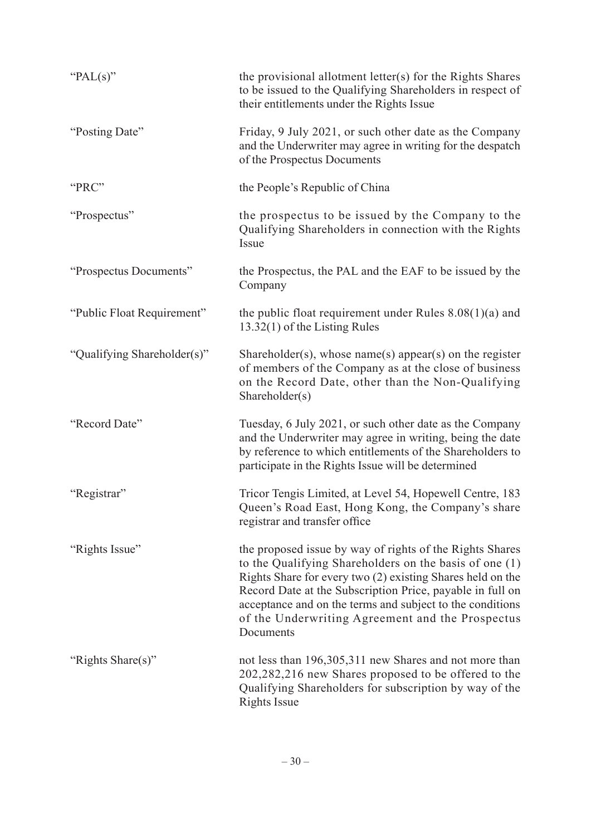| " $PAL(s)$ "                | the provisional allotment letter(s) for the Rights Shares<br>to be issued to the Qualifying Shareholders in respect of<br>their entitlements under the Rights Issue                                                                                                                                                                                                         |
|-----------------------------|-----------------------------------------------------------------------------------------------------------------------------------------------------------------------------------------------------------------------------------------------------------------------------------------------------------------------------------------------------------------------------|
| "Posting Date"              | Friday, 9 July 2021, or such other date as the Company<br>and the Underwriter may agree in writing for the despatch<br>of the Prospectus Documents                                                                                                                                                                                                                          |
| "PRC"                       | the People's Republic of China                                                                                                                                                                                                                                                                                                                                              |
| "Prospectus"                | the prospectus to be issued by the Company to the<br>Qualifying Shareholders in connection with the Rights<br>Issue                                                                                                                                                                                                                                                         |
| "Prospectus Documents"      | the Prospectus, the PAL and the EAF to be issued by the<br>Company                                                                                                                                                                                                                                                                                                          |
| "Public Float Requirement"  | the public float requirement under Rules $8.08(1)(a)$ and<br>13.32(1) of the Listing Rules                                                                                                                                                                                                                                                                                  |
| "Qualifying Shareholder(s)" | Shareholder(s), whose name(s) appear(s) on the register<br>of members of the Company as at the close of business<br>on the Record Date, other than the Non-Qualifying<br>Shareholder(s)                                                                                                                                                                                     |
| "Record Date"               | Tuesday, 6 July 2021, or such other date as the Company<br>and the Underwriter may agree in writing, being the date<br>by reference to which entitlements of the Shareholders to<br>participate in the Rights Issue will be determined                                                                                                                                      |
| "Registrar"                 | Tricor Tengis Limited, at Level 54, Hopewell Centre, 183<br>Queen's Road East, Hong Kong, the Company's share<br>registrar and transfer office                                                                                                                                                                                                                              |
| "Rights Issue"              | the proposed issue by way of rights of the Rights Shares<br>to the Qualifying Shareholders on the basis of one (1)<br>Rights Share for every two (2) existing Shares held on the<br>Record Date at the Subscription Price, payable in full on<br>acceptance and on the terms and subject to the conditions<br>of the Underwriting Agreement and the Prospectus<br>Documents |
| "Rights Share(s)"           | not less than 196,305,311 new Shares and not more than<br>202,282,216 new Shares proposed to be offered to the<br>Qualifying Shareholders for subscription by way of the<br><b>Rights Issue</b>                                                                                                                                                                             |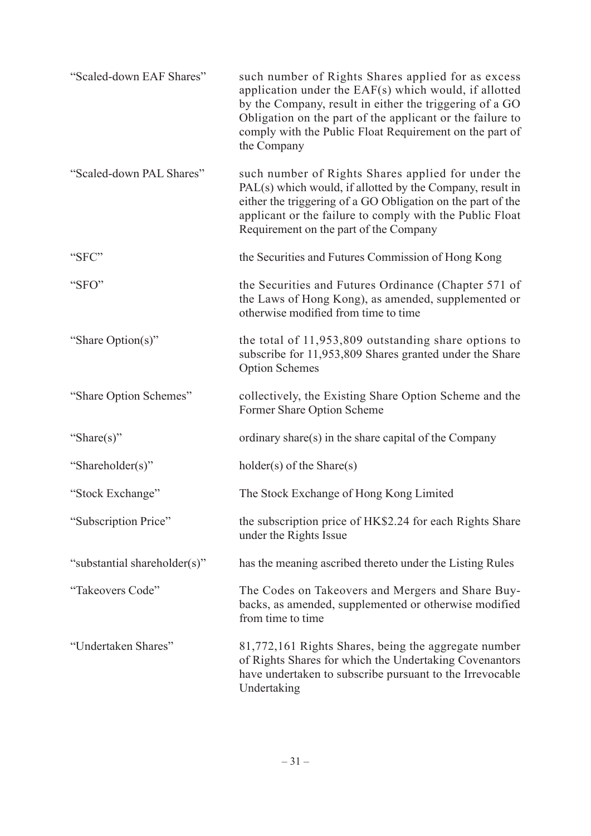| "Scaled-down EAF Shares"     | such number of Rights Shares applied for as excess<br>application under the EAF(s) which would, if allotted<br>by the Company, result in either the triggering of a GO<br>Obligation on the part of the applicant or the failure to<br>comply with the Public Float Requirement on the part of<br>the Company |
|------------------------------|---------------------------------------------------------------------------------------------------------------------------------------------------------------------------------------------------------------------------------------------------------------------------------------------------------------|
| "Scaled-down PAL Shares"     | such number of Rights Shares applied for under the<br>PAL(s) which would, if allotted by the Company, result in<br>either the triggering of a GO Obligation on the part of the<br>applicant or the failure to comply with the Public Float<br>Requirement on the part of the Company                          |
| "SFC"                        | the Securities and Futures Commission of Hong Kong                                                                                                                                                                                                                                                            |
| "SFO"                        | the Securities and Futures Ordinance (Chapter 571 of<br>the Laws of Hong Kong), as amended, supplemented or<br>otherwise modified from time to time                                                                                                                                                           |
| "Share Option(s)"            | the total of $11,953,809$ outstanding share options to<br>subscribe for 11,953,809 Shares granted under the Share<br><b>Option Schemes</b>                                                                                                                                                                    |
| "Share Option Schemes"       | collectively, the Existing Share Option Scheme and the<br>Former Share Option Scheme                                                                                                                                                                                                                          |
| "Share(s)"                   | ordinary share(s) in the share capital of the Company                                                                                                                                                                                                                                                         |
| "Shareholder(s)"             | $holder(s)$ of the Share $(s)$                                                                                                                                                                                                                                                                                |
| "Stock Exchange"             | The Stock Exchange of Hong Kong Limited                                                                                                                                                                                                                                                                       |
| "Subscription Price"         | the subscription price of HK\$2.24 for each Rights Share<br>under the Rights Issue                                                                                                                                                                                                                            |
| "substantial shareholder(s)" | has the meaning ascribed thereto under the Listing Rules                                                                                                                                                                                                                                                      |
| "Takeovers Code"             | The Codes on Takeovers and Mergers and Share Buy-<br>backs, as amended, supplemented or otherwise modified<br>from time to time                                                                                                                                                                               |
| "Undertaken Shares"          | 81,772,161 Rights Shares, being the aggregate number<br>of Rights Shares for which the Undertaking Covenantors<br>have undertaken to subscribe pursuant to the Irrevocable<br>Undertaking                                                                                                                     |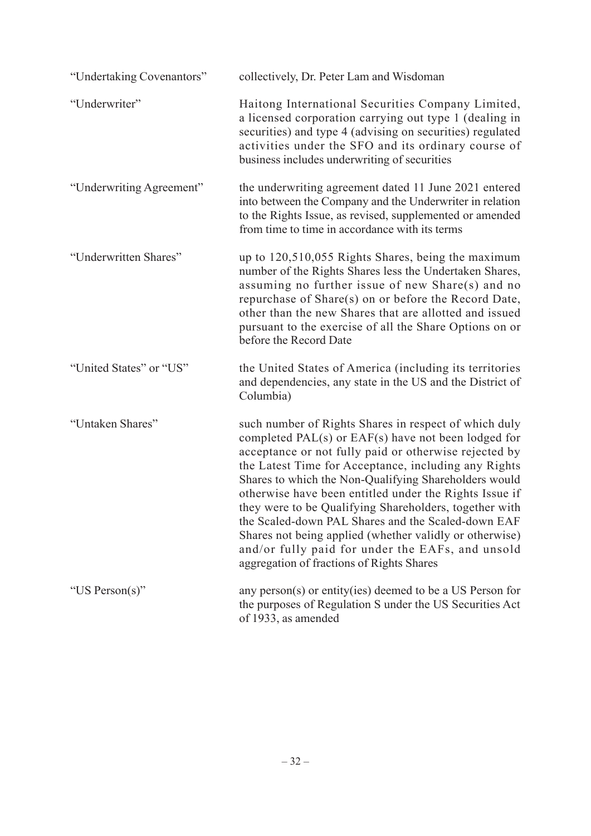| "Undertaking Covenantors" | collectively, Dr. Peter Lam and Wisdoman                                                                                                                                                                                                                                                                                                                                                                                                                                                                                                                                                                                     |
|---------------------------|------------------------------------------------------------------------------------------------------------------------------------------------------------------------------------------------------------------------------------------------------------------------------------------------------------------------------------------------------------------------------------------------------------------------------------------------------------------------------------------------------------------------------------------------------------------------------------------------------------------------------|
| "Underwriter"             | Haitong International Securities Company Limited,<br>a licensed corporation carrying out type 1 (dealing in<br>securities) and type 4 (advising on securities) regulated<br>activities under the SFO and its ordinary course of<br>business includes underwriting of securities                                                                                                                                                                                                                                                                                                                                              |
| "Underwriting Agreement"  | the underwriting agreement dated 11 June 2021 entered<br>into between the Company and the Underwriter in relation<br>to the Rights Issue, as revised, supplemented or amended<br>from time to time in accordance with its terms                                                                                                                                                                                                                                                                                                                                                                                              |
| "Underwritten Shares"     | up to 120,510,055 Rights Shares, being the maximum<br>number of the Rights Shares less the Undertaken Shares,<br>assuming no further issue of new Share(s) and no<br>repurchase of Share(s) on or before the Record Date,<br>other than the new Shares that are allotted and issued<br>pursuant to the exercise of all the Share Options on or<br>before the Record Date                                                                                                                                                                                                                                                     |
| "United States" or "US"   | the United States of America (including its territories<br>and dependencies, any state in the US and the District of<br>Columbia)                                                                                                                                                                                                                                                                                                                                                                                                                                                                                            |
| "Untaken Shares"          | such number of Rights Shares in respect of which duly<br>completed PAL(s) or EAF(s) have not been lodged for<br>acceptance or not fully paid or otherwise rejected by<br>the Latest Time for Acceptance, including any Rights<br>Shares to which the Non-Qualifying Shareholders would<br>otherwise have been entitled under the Rights Issue if<br>they were to be Qualifying Shareholders, together with<br>the Scaled-down PAL Shares and the Scaled-down EAF<br>Shares not being applied (whether validly or otherwise)<br>and/or fully paid for under the EAFs, and unsold<br>aggregation of fractions of Rights Shares |
| "US Person(s)"            | any person(s) or entity(ies) deemed to be a US Person for<br>the purposes of Regulation S under the US Securities Act<br>of 1933, as amended                                                                                                                                                                                                                                                                                                                                                                                                                                                                                 |